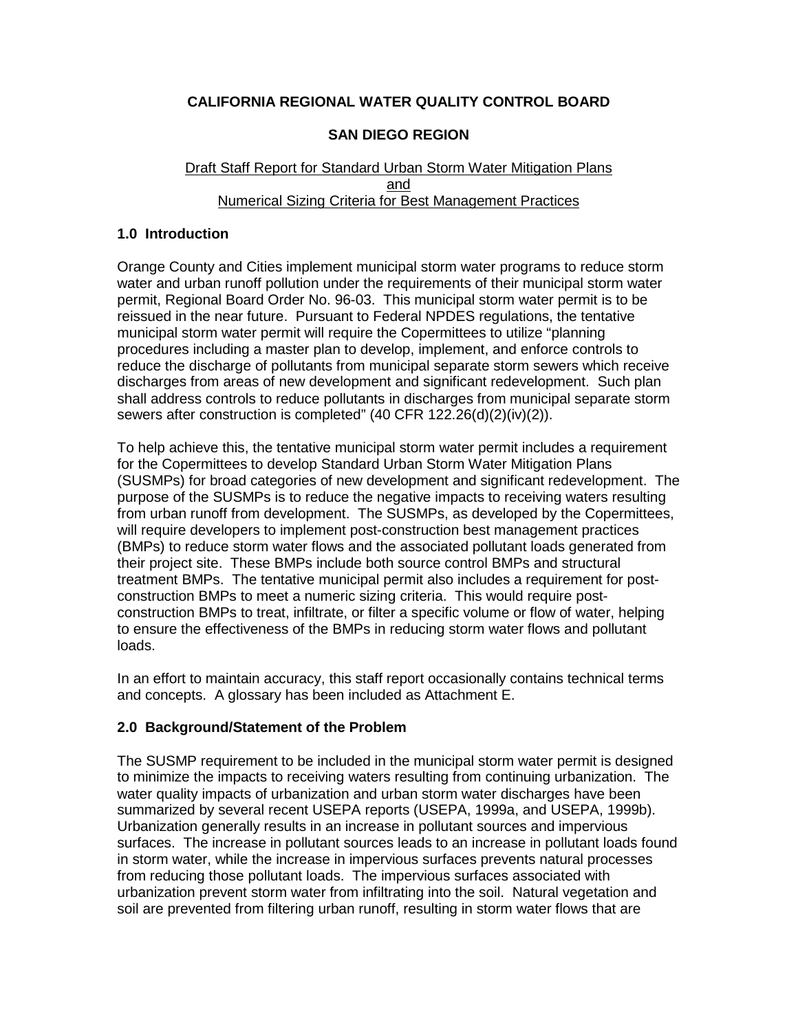## **CALIFORNIA REGIONAL WATER QUALITY CONTROL BOARD**

## **SAN DIEGO REGION**

#### Draft Staff Report for Standard Urban Storm Water Mitigation Plans and Numerical Sizing Criteria for Best Management Practices

#### **1.0 Introduction**

Orange County and Cities implement municipal storm water programs to reduce storm water and urban runoff pollution under the requirements of their municipal storm water permit, Regional Board Order No. 96-03. This municipal storm water permit is to be reissued in the near future. Pursuant to Federal NPDES regulations, the tentative municipal storm water permit will require the Copermittees to utilize "planning procedures including a master plan to develop, implement, and enforce controls to reduce the discharge of pollutants from municipal separate storm sewers which receive discharges from areas of new development and significant redevelopment. Such plan shall address controls to reduce pollutants in discharges from municipal separate storm sewers after construction is completed" (40 CFR 122.26(d)(2)(iv)(2)).

To help achieve this, the tentative municipal storm water permit includes a requirement for the Copermittees to develop Standard Urban Storm Water Mitigation Plans (SUSMPs) for broad categories of new development and significant redevelopment. The purpose of the SUSMPs is to reduce the negative impacts to receiving waters resulting from urban runoff from development. The SUSMPs, as developed by the Copermittees, will require developers to implement post-construction best management practices (BMPs) to reduce storm water flows and the associated pollutant loads generated from their project site. These BMPs include both source control BMPs and structural treatment BMPs. The tentative municipal permit also includes a requirement for postconstruction BMPs to meet a numeric sizing criteria. This would require postconstruction BMPs to treat, infiltrate, or filter a specific volume or flow of water, helping to ensure the effectiveness of the BMPs in reducing storm water flows and pollutant loads.

In an effort to maintain accuracy, this staff report occasionally contains technical terms and concepts. A glossary has been included as Attachment E.

## **2.0 Background/Statement of the Problem**

The SUSMP requirement to be included in the municipal storm water permit is designed to minimize the impacts to receiving waters resulting from continuing urbanization. The water quality impacts of urbanization and urban storm water discharges have been summarized by several recent USEPA reports (USEPA, 1999a, and USEPA, 1999b). Urbanization generally results in an increase in pollutant sources and impervious surfaces. The increase in pollutant sources leads to an increase in pollutant loads found in storm water, while the increase in impervious surfaces prevents natural processes from reducing those pollutant loads. The impervious surfaces associated with urbanization prevent storm water from infiltrating into the soil. Natural vegetation and soil are prevented from filtering urban runoff, resulting in storm water flows that are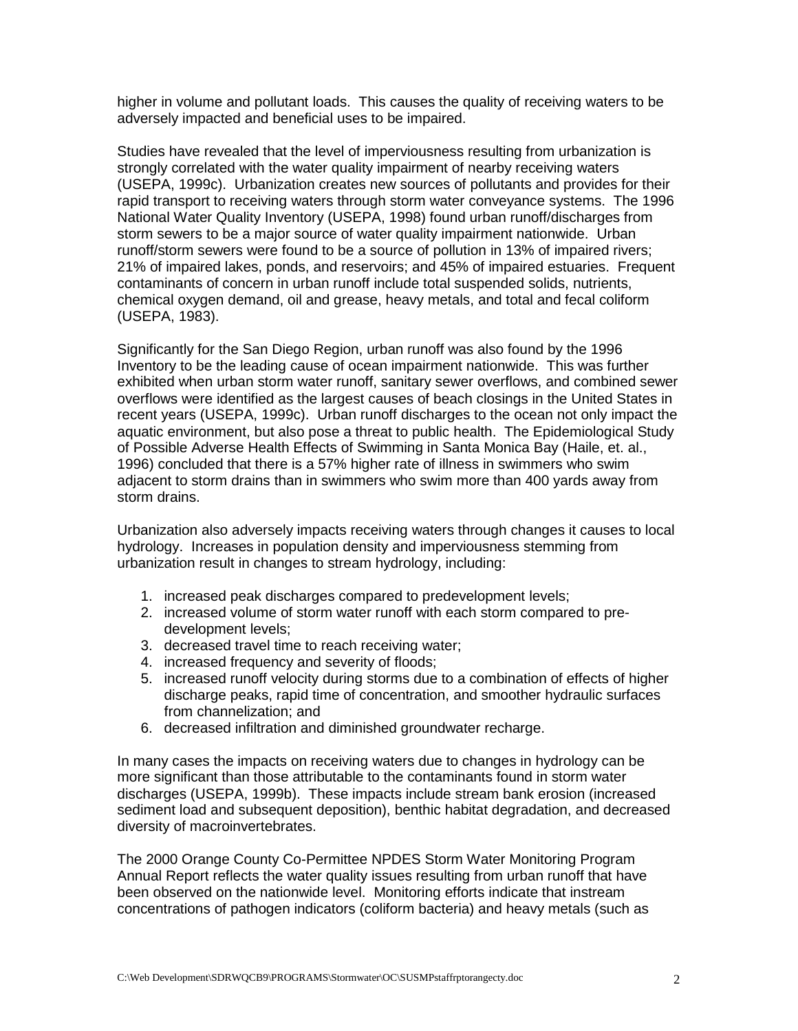higher in volume and pollutant loads. This causes the quality of receiving waters to be adversely impacted and beneficial uses to be impaired.

Studies have revealed that the level of imperviousness resulting from urbanization is strongly correlated with the water quality impairment of nearby receiving waters (USEPA, 1999c). Urbanization creates new sources of pollutants and provides for their rapid transport to receiving waters through storm water conveyance systems. The 1996 National Water Quality Inventory (USEPA, 1998) found urban runoff/discharges from storm sewers to be a major source of water quality impairment nationwide. Urban runoff/storm sewers were found to be a source of pollution in 13% of impaired rivers; 21% of impaired lakes, ponds, and reservoirs; and 45% of impaired estuaries. Frequent contaminants of concern in urban runoff include total suspended solids, nutrients, chemical oxygen demand, oil and grease, heavy metals, and total and fecal coliform (USEPA, 1983).

Significantly for the San Diego Region, urban runoff was also found by the 1996 Inventory to be the leading cause of ocean impairment nationwide. This was further exhibited when urban storm water runoff, sanitary sewer overflows, and combined sewer overflows were identified as the largest causes of beach closings in the United States in recent years (USEPA, 1999c). Urban runoff discharges to the ocean not only impact the aquatic environment, but also pose a threat to public health. The Epidemiological Study of Possible Adverse Health Effects of Swimming in Santa Monica Bay (Haile, et. al., 1996) concluded that there is a 57% higher rate of illness in swimmers who swim adjacent to storm drains than in swimmers who swim more than 400 yards away from storm drains.

Urbanization also adversely impacts receiving waters through changes it causes to local hydrology. Increases in population density and imperviousness stemming from urbanization result in changes to stream hydrology, including:

- 1. increased peak discharges compared to predevelopment levels;
- 2. increased volume of storm water runoff with each storm compared to predevelopment levels;
- 3. decreased travel time to reach receiving water;
- 4. increased frequency and severity of floods;
- 5. increased runoff velocity during storms due to a combination of effects of higher discharge peaks, rapid time of concentration, and smoother hydraulic surfaces from channelization; and
- 6. decreased infiltration and diminished groundwater recharge.

In many cases the impacts on receiving waters due to changes in hydrology can be more significant than those attributable to the contaminants found in storm water discharges (USEPA, 1999b). These impacts include stream bank erosion (increased sediment load and subsequent deposition), benthic habitat degradation, and decreased diversity of macroinvertebrates.

The 2000 Orange County Co-Permittee NPDES Storm Water Monitoring Program Annual Report reflects the water quality issues resulting from urban runoff that have been observed on the nationwide level. Monitoring efforts indicate that instream concentrations of pathogen indicators (coliform bacteria) and heavy metals (such as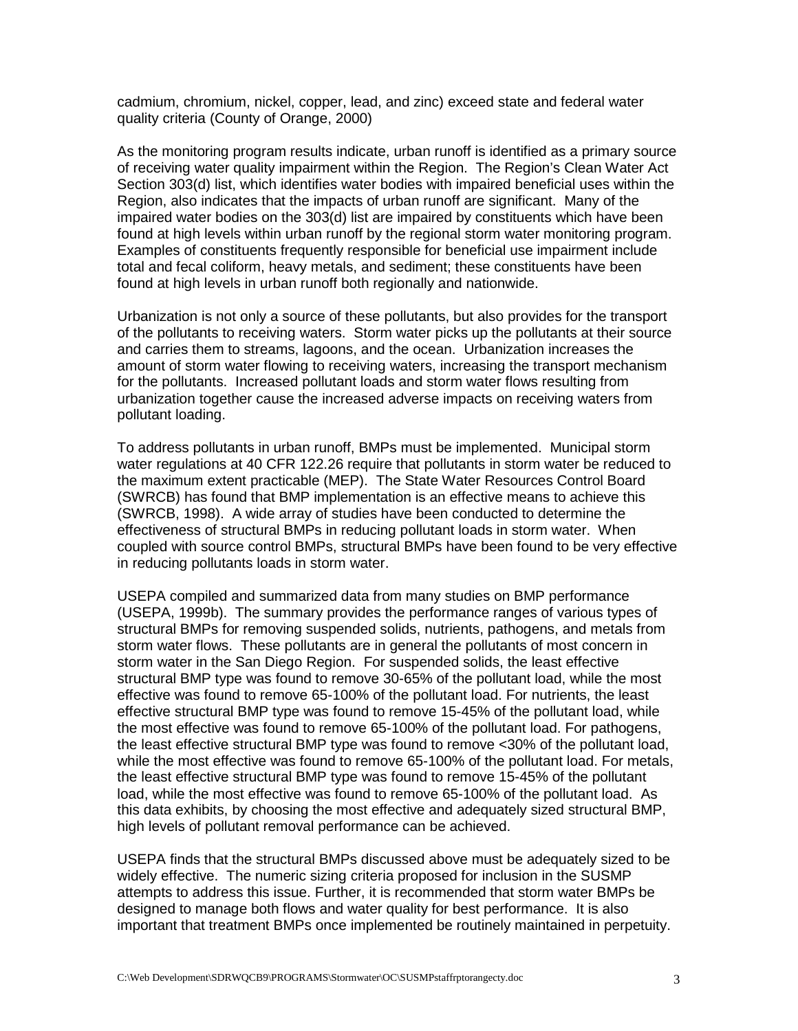cadmium, chromium, nickel, copper, lead, and zinc) exceed state and federal water quality criteria (County of Orange, 2000)

As the monitoring program results indicate, urban runoff is identified as a primary source of receiving water quality impairment within the Region. The Region's Clean Water Act Section 303(d) list, which identifies water bodies with impaired beneficial uses within the Region, also indicates that the impacts of urban runoff are significant. Many of the impaired water bodies on the 303(d) list are impaired by constituents which have been found at high levels within urban runoff by the regional storm water monitoring program. Examples of constituents frequently responsible for beneficial use impairment include total and fecal coliform, heavy metals, and sediment; these constituents have been found at high levels in urban runoff both regionally and nationwide.

Urbanization is not only a source of these pollutants, but also provides for the transport of the pollutants to receiving waters. Storm water picks up the pollutants at their source and carries them to streams, lagoons, and the ocean. Urbanization increases the amount of storm water flowing to receiving waters, increasing the transport mechanism for the pollutants. Increased pollutant loads and storm water flows resulting from urbanization together cause the increased adverse impacts on receiving waters from pollutant loading.

To address pollutants in urban runoff, BMPs must be implemented. Municipal storm water regulations at 40 CFR 122.26 require that pollutants in storm water be reduced to the maximum extent practicable (MEP). The State Water Resources Control Board (SWRCB) has found that BMP implementation is an effective means to achieve this (SWRCB, 1998). A wide array of studies have been conducted to determine the effectiveness of structural BMPs in reducing pollutant loads in storm water. When coupled with source control BMPs, structural BMPs have been found to be very effective in reducing pollutants loads in storm water.

USEPA compiled and summarized data from many studies on BMP performance (USEPA, 1999b). The summary provides the performance ranges of various types of structural BMPs for removing suspended solids, nutrients, pathogens, and metals from storm water flows. These pollutants are in general the pollutants of most concern in storm water in the San Diego Region. For suspended solids, the least effective structural BMP type was found to remove 30-65% of the pollutant load, while the most effective was found to remove 65-100% of the pollutant load. For nutrients, the least effective structural BMP type was found to remove 15-45% of the pollutant load, while the most effective was found to remove 65-100% of the pollutant load. For pathogens, the least effective structural BMP type was found to remove <30% of the pollutant load, while the most effective was found to remove 65-100% of the pollutant load. For metals, the least effective structural BMP type was found to remove 15-45% of the pollutant load, while the most effective was found to remove 65-100% of the pollutant load. As this data exhibits, by choosing the most effective and adequately sized structural BMP, high levels of pollutant removal performance can be achieved.

USEPA finds that the structural BMPs discussed above must be adequately sized to be widely effective. The numeric sizing criteria proposed for inclusion in the SUSMP attempts to address this issue. Further, it is recommended that storm water BMPs be designed to manage both flows and water quality for best performance. It is also important that treatment BMPs once implemented be routinely maintained in perpetuity.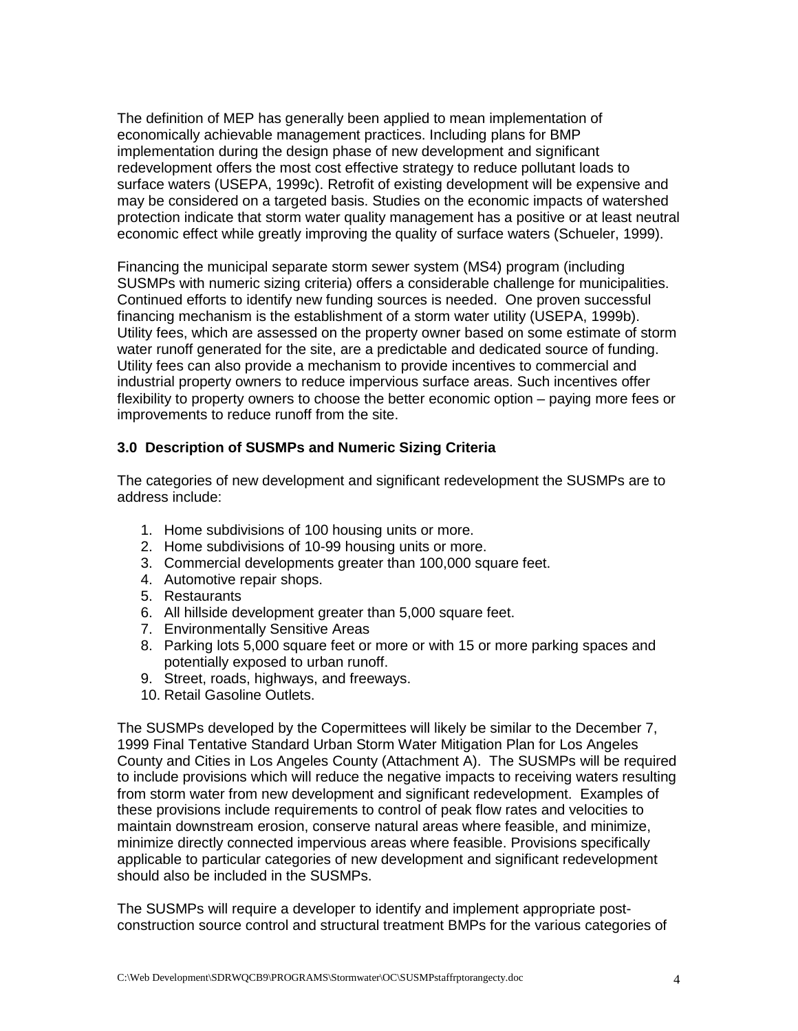The definition of MEP has generally been applied to mean implementation of economically achievable management practices. Including plans for BMP implementation during the design phase of new development and significant redevelopment offers the most cost effective strategy to reduce pollutant loads to surface waters (USEPA, 1999c). Retrofit of existing development will be expensive and may be considered on a targeted basis. Studies on the economic impacts of watershed protection indicate that storm water quality management has a positive or at least neutral economic effect while greatly improving the quality of surface waters (Schueler, 1999).

Financing the municipal separate storm sewer system (MS4) program (including SUSMPs with numeric sizing criteria) offers a considerable challenge for municipalities. Continued efforts to identify new funding sources is needed. One proven successful financing mechanism is the establishment of a storm water utility (USEPA, 1999b). Utility fees, which are assessed on the property owner based on some estimate of storm water runoff generated for the site, are a predictable and dedicated source of funding. Utility fees can also provide a mechanism to provide incentives to commercial and industrial property owners to reduce impervious surface areas. Such incentives offer flexibility to property owners to choose the better economic option – paying more fees or improvements to reduce runoff from the site.

## **3.0 Description of SUSMPs and Numeric Sizing Criteria**

The categories of new development and significant redevelopment the SUSMPs are to address include:

- 1. Home subdivisions of 100 housing units or more.
- 2. Home subdivisions of 10-99 housing units or more.
- 3. Commercial developments greater than 100,000 square feet.
- 4. Automotive repair shops.
- 5. Restaurants
- 6. All hillside development greater than 5,000 square feet.
- 7. Environmentally Sensitive Areas
- 8. Parking lots 5,000 square feet or more or with 15 or more parking spaces and potentially exposed to urban runoff.
- 9. Street, roads, highways, and freeways.
- 10. Retail Gasoline Outlets.

The SUSMPs developed by the Copermittees will likely be similar to the December 7, 1999 Final Tentative Standard Urban Storm Water Mitigation Plan for Los Angeles County and Cities in Los Angeles County (Attachment A). The SUSMPs will be required to include provisions which will reduce the negative impacts to receiving waters resulting from storm water from new development and significant redevelopment. Examples of these provisions include requirements to control of peak flow rates and velocities to maintain downstream erosion, conserve natural areas where feasible, and minimize, minimize directly connected impervious areas where feasible. Provisions specifically applicable to particular categories of new development and significant redevelopment should also be included in the SUSMPs.

The SUSMPs will require a developer to identify and implement appropriate postconstruction source control and structural treatment BMPs for the various categories of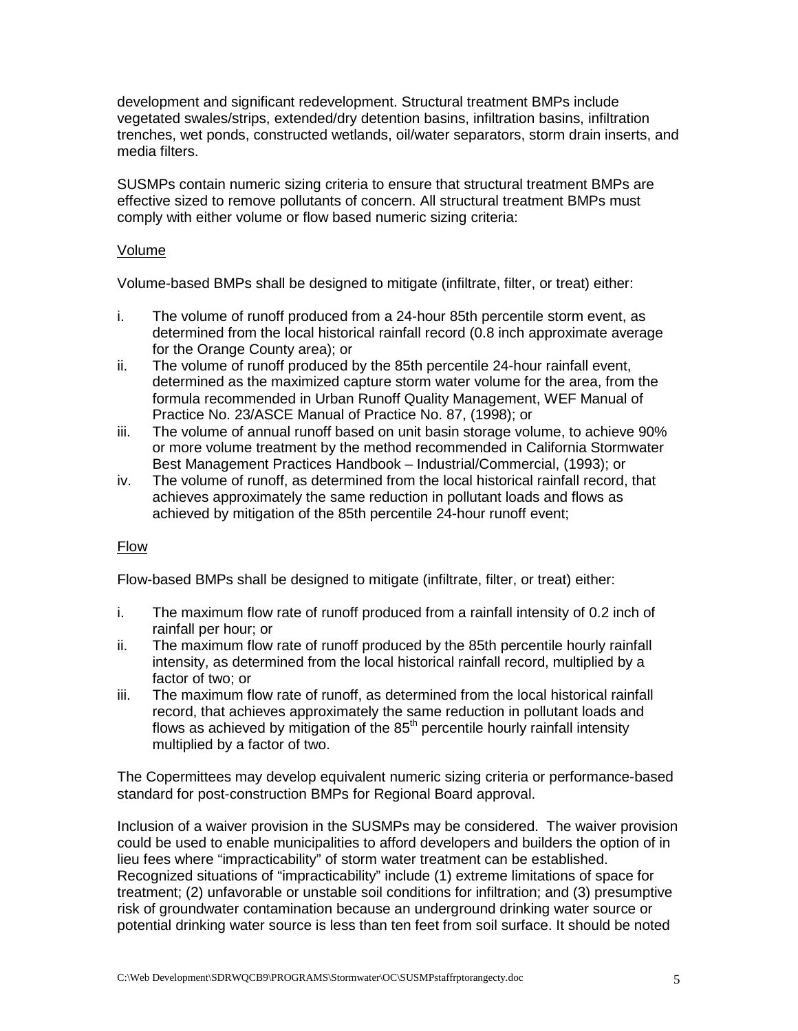development and significant redevelopment. Structural treatment BMPs include vegetated swales/strips, extended/dry detention basins, infiltration basins, infiltration trenches, wet ponds, constructed wetlands, oil/water separators, storm drain inserts, and media filters.

SUSMPs contain numeric sizing criteria to ensure that structural treatment BMPs are effective sized to remove pollutants of concern. All structural treatment BMPs must comply with either volume or flow based numeric sizing criteria:

#### Volume

Volume-based BMPs shall be designed to mitigate (infiltrate, filter, or treat) either:

- i. The volume of runoff produced from a 24-hour 85th percentile storm event, as determined from the local historical rainfall record (0.8 inch approximate average for the Orange County area); or
- ii. The volume of runoff produced by the 85th percentile 24-hour rainfall event, determined as the maximized capture storm water volume for the area, from the formula recommended in Urban Runoff Quality Management, WEF Manual of Practice No. 23/ASCE Manual of Practice No. 87, (1998); or
- iii. The volume of annual runoff based on unit basin storage volume, to achieve 90% or more volume treatment by the method recommended in California Stormwater Best Management Practices Handbook – Industrial/Commercial, (1993); or
- iv. The volume of runoff, as determined from the local historical rainfall record, that achieves approximately the same reduction in pollutant loads and flows as achieved by mitigation of the 85th percentile 24-hour runoff event;

## Flow

Flow-based BMPs shall be designed to mitigate (infiltrate, filter, or treat) either:

- i. The maximum flow rate of runoff produced from a rainfall intensity of 0.2 inch of rainfall per hour; or
- ii. The maximum flow rate of runoff produced by the 85th percentile hourly rainfall intensity, as determined from the local historical rainfall record, multiplied by a factor of two; or
- iii. The maximum flow rate of runoff, as determined from the local historical rainfall record, that achieves approximately the same reduction in pollutant loads and flows as achieved by mitigation of the  $85<sup>th</sup>$  percentile hourly rainfall intensity multiplied by a factor of two.

The Copermittees may develop equivalent numeric sizing criteria or performance-based standard for post-construction BMPs for Regional Board approval.

Inclusion of a waiver provision in the SUSMPs may be considered. The waiver provision could be used to enable municipalities to afford developers and builders the option of in lieu fees where "impracticability" of storm water treatment can be established. Recognized situations of "impracticability" include (1) extreme limitations of space for treatment; (2) unfavorable or unstable soil conditions for infiltration; and (3) presumptive risk of groundwater contamination because an underground drinking water source or potential drinking water source is less than ten feet from soil surface. It should be noted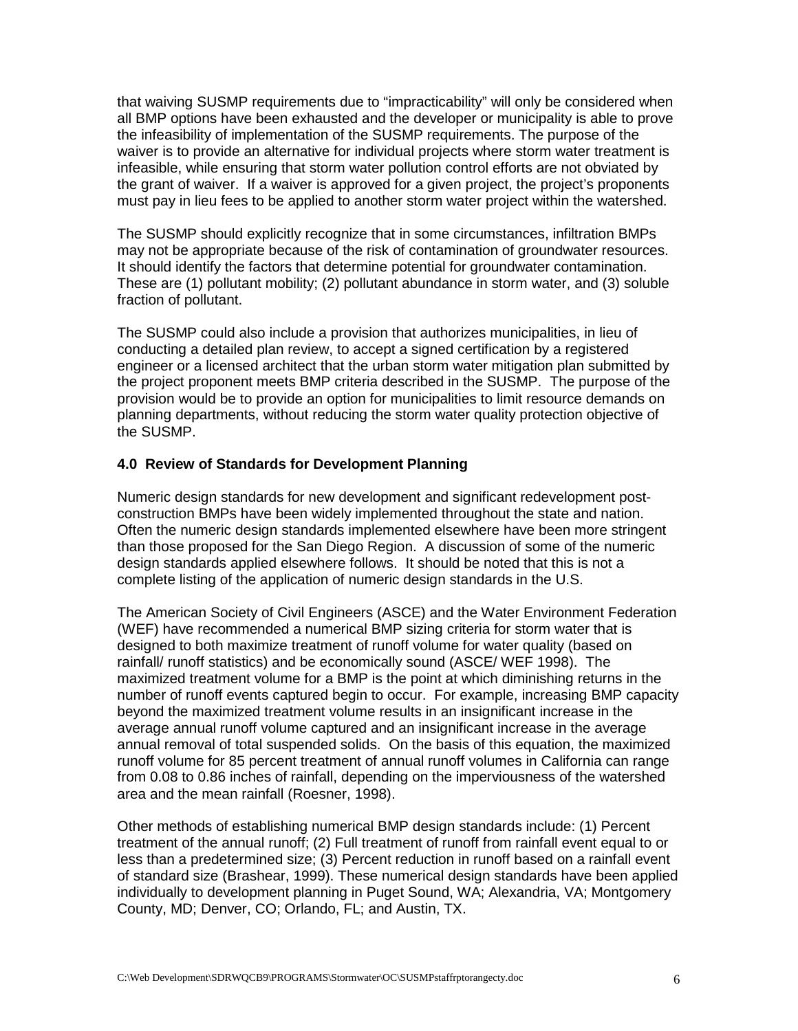that waiving SUSMP requirements due to "impracticability" will only be considered when all BMP options have been exhausted and the developer or municipality is able to prove the infeasibility of implementation of the SUSMP requirements. The purpose of the waiver is to provide an alternative for individual projects where storm water treatment is infeasible, while ensuring that storm water pollution control efforts are not obviated by the grant of waiver. If a waiver is approved for a given project, the project's proponents must pay in lieu fees to be applied to another storm water project within the watershed.

The SUSMP should explicitly recognize that in some circumstances, infiltration BMPs may not be appropriate because of the risk of contamination of groundwater resources. It should identify the factors that determine potential for groundwater contamination. These are (1) pollutant mobility; (2) pollutant abundance in storm water, and (3) soluble fraction of pollutant.

The SUSMP could also include a provision that authorizes municipalities, in lieu of conducting a detailed plan review, to accept a signed certification by a registered engineer or a licensed architect that the urban storm water mitigation plan submitted by the project proponent meets BMP criteria described in the SUSMP. The purpose of the provision would be to provide an option for municipalities to limit resource demands on planning departments, without reducing the storm water quality protection objective of the SUSMP.

#### **4.0 Review of Standards for Development Planning**

Numeric design standards for new development and significant redevelopment postconstruction BMPs have been widely implemented throughout the state and nation. Often the numeric design standards implemented elsewhere have been more stringent than those proposed for the San Diego Region. A discussion of some of the numeric design standards applied elsewhere follows. It should be noted that this is not a complete listing of the application of numeric design standards in the U.S.

The American Society of Civil Engineers (ASCE) and the Water Environment Federation (WEF) have recommended a numerical BMP sizing criteria for storm water that is designed to both maximize treatment of runoff volume for water quality (based on rainfall/ runoff statistics) and be economically sound (ASCE/ WEF 1998). The maximized treatment volume for a BMP is the point at which diminishing returns in the number of runoff events captured begin to occur. For example, increasing BMP capacity beyond the maximized treatment volume results in an insignificant increase in the average annual runoff volume captured and an insignificant increase in the average annual removal of total suspended solids. On the basis of this equation, the maximized runoff volume for 85 percent treatment of annual runoff volumes in California can range from 0.08 to 0.86 inches of rainfall, depending on the imperviousness of the watershed area and the mean rainfall (Roesner, 1998).

Other methods of establishing numerical BMP design standards include: (1) Percent treatment of the annual runoff; (2) Full treatment of runoff from rainfall event equal to or less than a predetermined size; (3) Percent reduction in runoff based on a rainfall event of standard size (Brashear, 1999). These numerical design standards have been applied individually to development planning in Puget Sound, WA; Alexandria, VA; Montgomery County, MD; Denver, CO; Orlando, FL; and Austin, TX.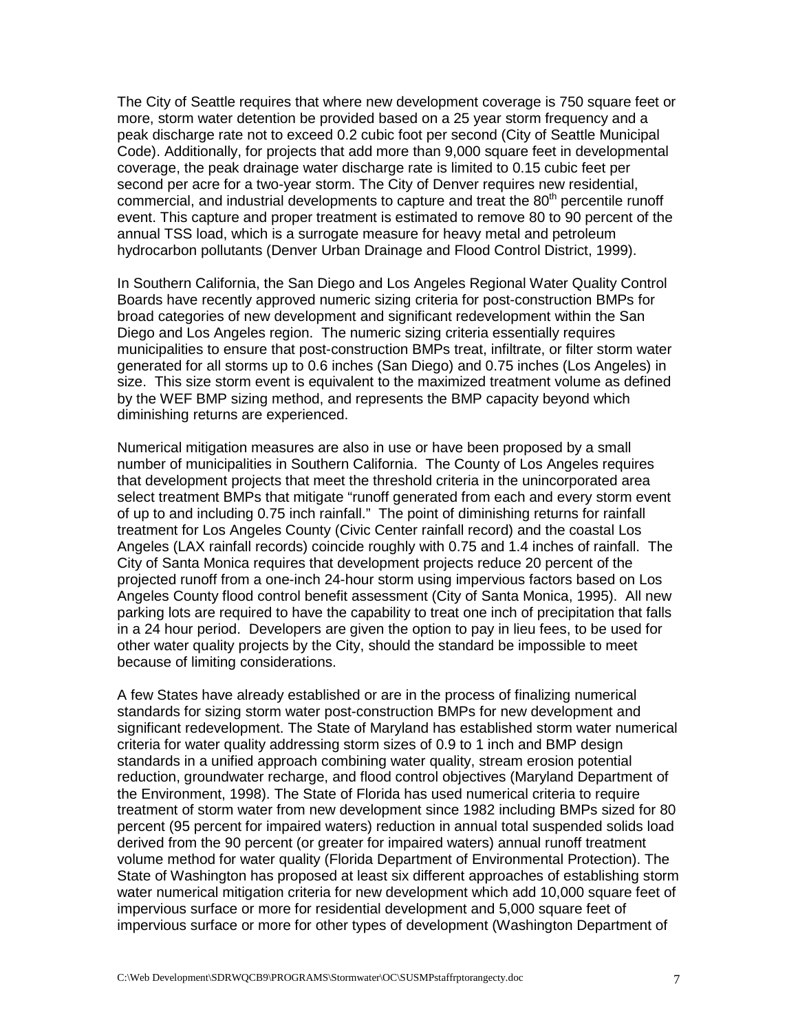The City of Seattle requires that where new development coverage is 750 square feet or more, storm water detention be provided based on a 25 year storm frequency and a peak discharge rate not to exceed 0.2 cubic foot per second (City of Seattle Municipal Code). Additionally, for projects that add more than 9,000 square feet in developmental coverage, the peak drainage water discharge rate is limited to 0.15 cubic feet per second per acre for a two-year storm. The City of Denver requires new residential, commercial, and industrial developments to capture and treat the  $80<sup>th</sup>$  percentile runoff event. This capture and proper treatment is estimated to remove 80 to 90 percent of the annual TSS load, which is a surrogate measure for heavy metal and petroleum hydrocarbon pollutants (Denver Urban Drainage and Flood Control District, 1999).

In Southern California, the San Diego and Los Angeles Regional Water Quality Control Boards have recently approved numeric sizing criteria for post-construction BMPs for broad categories of new development and significant redevelopment within the San Diego and Los Angeles region. The numeric sizing criteria essentially requires municipalities to ensure that post-construction BMPs treat, infiltrate, or filter storm water generated for all storms up to 0.6 inches (San Diego) and 0.75 inches (Los Angeles) in size. This size storm event is equivalent to the maximized treatment volume as defined by the WEF BMP sizing method, and represents the BMP capacity beyond which diminishing returns are experienced.

Numerical mitigation measures are also in use or have been proposed by a small number of municipalities in Southern California. The County of Los Angeles requires that development projects that meet the threshold criteria in the unincorporated area select treatment BMPs that mitigate "runoff generated from each and every storm event of up to and including 0.75 inch rainfall." The point of diminishing returns for rainfall treatment for Los Angeles County (Civic Center rainfall record) and the coastal Los Angeles (LAX rainfall records) coincide roughly with 0.75 and 1.4 inches of rainfall. The City of Santa Monica requires that development projects reduce 20 percent of the projected runoff from a one-inch 24-hour storm using impervious factors based on Los Angeles County flood control benefit assessment (City of Santa Monica, 1995). All new parking lots are required to have the capability to treat one inch of precipitation that falls in a 24 hour period. Developers are given the option to pay in lieu fees, to be used for other water quality projects by the City, should the standard be impossible to meet because of limiting considerations.

A few States have already established or are in the process of finalizing numerical standards for sizing storm water post-construction BMPs for new development and significant redevelopment. The State of Maryland has established storm water numerical criteria for water quality addressing storm sizes of 0.9 to 1 inch and BMP design standards in a unified approach combining water quality, stream erosion potential reduction, groundwater recharge, and flood control objectives (Maryland Department of the Environment, 1998). The State of Florida has used numerical criteria to require treatment of storm water from new development since 1982 including BMPs sized for 80 percent (95 percent for impaired waters) reduction in annual total suspended solids load derived from the 90 percent (or greater for impaired waters) annual runoff treatment volume method for water quality (Florida Department of Environmental Protection). The State of Washington has proposed at least six different approaches of establishing storm water numerical mitigation criteria for new development which add 10,000 square feet of impervious surface or more for residential development and 5,000 square feet of impervious surface or more for other types of development (Washington Department of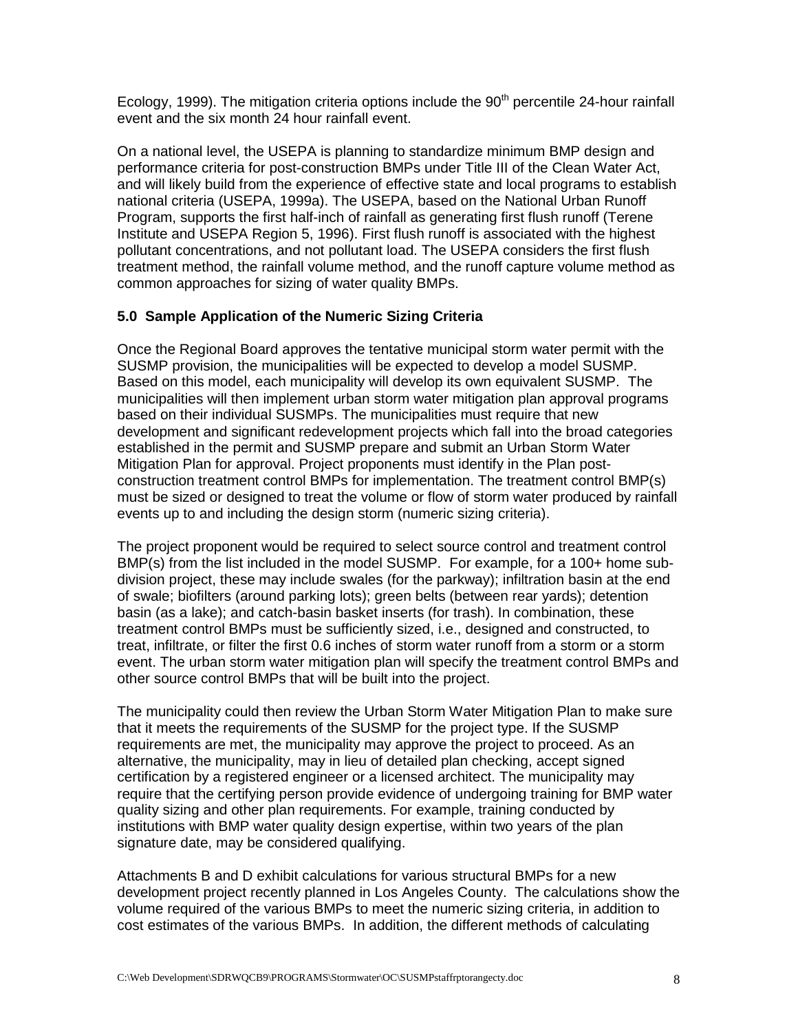Ecology, 1999). The mitigation criteria options include the  $90<sup>th</sup>$  percentile 24-hour rainfall event and the six month 24 hour rainfall event.

On a national level, the USEPA is planning to standardize minimum BMP design and performance criteria for post-construction BMPs under Title III of the Clean Water Act, and will likely build from the experience of effective state and local programs to establish national criteria (USEPA, 1999a). The USEPA, based on the National Urban Runoff Program, supports the first half-inch of rainfall as generating first flush runoff (Terene Institute and USEPA Region 5, 1996). First flush runoff is associated with the highest pollutant concentrations, and not pollutant load. The USEPA considers the first flush treatment method, the rainfall volume method, and the runoff capture volume method as common approaches for sizing of water quality BMPs.

## **5.0 Sample Application of the Numeric Sizing Criteria**

Once the Regional Board approves the tentative municipal storm water permit with the SUSMP provision, the municipalities will be expected to develop a model SUSMP. Based on this model, each municipality will develop its own equivalent SUSMP. The municipalities will then implement urban storm water mitigation plan approval programs based on their individual SUSMPs. The municipalities must require that new development and significant redevelopment projects which fall into the broad categories established in the permit and SUSMP prepare and submit an Urban Storm Water Mitigation Plan for approval. Project proponents must identify in the Plan postconstruction treatment control BMPs for implementation. The treatment control BMP(s) must be sized or designed to treat the volume or flow of storm water produced by rainfall events up to and including the design storm (numeric sizing criteria).

The project proponent would be required to select source control and treatment control BMP(s) from the list included in the model SUSMP. For example, for a 100+ home subdivision project, these may include swales (for the parkway); infiltration basin at the end of swale; biofilters (around parking lots); green belts (between rear yards); detention basin (as a lake); and catch-basin basket inserts (for trash). In combination, these treatment control BMPs must be sufficiently sized, i.e., designed and constructed, to treat, infiltrate, or filter the first 0.6 inches of storm water runoff from a storm or a storm event. The urban storm water mitigation plan will specify the treatment control BMPs and other source control BMPs that will be built into the project.

The municipality could then review the Urban Storm Water Mitigation Plan to make sure that it meets the requirements of the SUSMP for the project type. If the SUSMP requirements are met, the municipality may approve the project to proceed. As an alternative, the municipality, may in lieu of detailed plan checking, accept signed certification by a registered engineer or a licensed architect. The municipality may require that the certifying person provide evidence of undergoing training for BMP water quality sizing and other plan requirements. For example, training conducted by institutions with BMP water quality design expertise, within two years of the plan signature date, may be considered qualifying.

Attachments B and D exhibit calculations for various structural BMPs for a new development project recently planned in Los Angeles County. The calculations show the volume required of the various BMPs to meet the numeric sizing criteria, in addition to cost estimates of the various BMPs. In addition, the different methods of calculating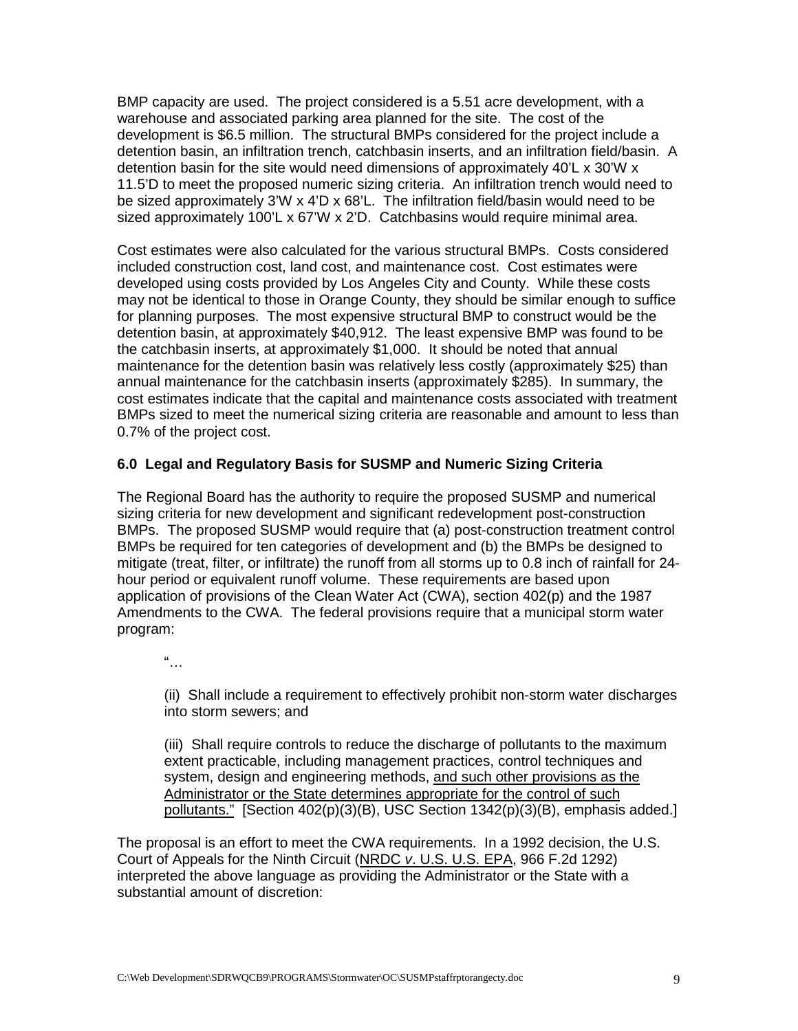BMP capacity are used. The project considered is a 5.51 acre development, with a warehouse and associated parking area planned for the site. The cost of the development is \$6.5 million. The structural BMPs considered for the project include a detention basin, an infiltration trench, catchbasin inserts, and an infiltration field/basin. A detention basin for the site would need dimensions of approximately 40'L x 30'W x 11.5'D to meet the proposed numeric sizing criteria. An infiltration trench would need to be sized approximately 3'W x 4'D x 68'L. The infiltration field/basin would need to be sized approximately 100'L x 67'W x 2'D. Catchbasins would require minimal area.

Cost estimates were also calculated for the various structural BMPs. Costs considered included construction cost, land cost, and maintenance cost. Cost estimates were developed using costs provided by Los Angeles City and County. While these costs may not be identical to those in Orange County, they should be similar enough to suffice for planning purposes. The most expensive structural BMP to construct would be the detention basin, at approximately \$40,912. The least expensive BMP was found to be the catchbasin inserts, at approximately \$1,000. It should be noted that annual maintenance for the detention basin was relatively less costly (approximately \$25) than annual maintenance for the catchbasin inserts (approximately \$285). In summary, the cost estimates indicate that the capital and maintenance costs associated with treatment BMPs sized to meet the numerical sizing criteria are reasonable and amount to less than 0.7% of the project cost.

## **6.0 Legal and Regulatory Basis for SUSMP and Numeric Sizing Criteria**

The Regional Board has the authority to require the proposed SUSMP and numerical sizing criteria for new development and significant redevelopment post-construction BMPs. The proposed SUSMP would require that (a) post-construction treatment control BMPs be required for ten categories of development and (b) the BMPs be designed to mitigate (treat, filter, or infiltrate) the runoff from all storms up to 0.8 inch of rainfall for 24 hour period or equivalent runoff volume. These requirements are based upon application of provisions of the Clean Water Act (CWA), section 402(p) and the 1987 Amendments to the CWA. The federal provisions require that a municipal storm water program:

 $\frac{a}{\sqrt{a}}$ 

(ii) Shall include a requirement to effectively prohibit non-storm water discharges into storm sewers; and

(iii) Shall require controls to reduce the discharge of pollutants to the maximum extent practicable, including management practices, control techniques and system, design and engineering methods, and such other provisions as the Administrator or the State determines appropriate for the control of such pollutants." [Section 402(p)(3)(B), USC Section 1342(p)(3)(B), emphasis added.]

The proposal is an effort to meet the CWA requirements. In a 1992 decision, the U.S. Court of Appeals for the Ninth Circuit (NRDC *v*. U.S. U.S. EPA, 966 F.2d 1292) interpreted the above language as providing the Administrator or the State with a substantial amount of discretion: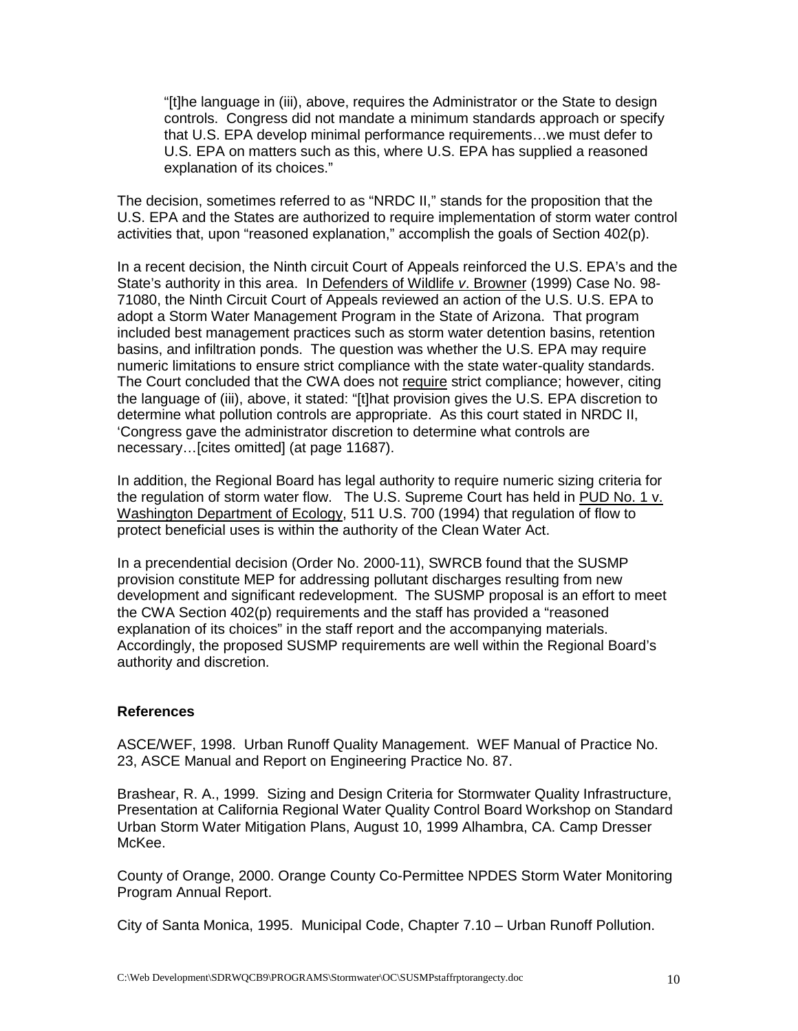"[t]he language in (iii), above, requires the Administrator or the State to design controls. Congress did not mandate a minimum standards approach or specify that U.S. EPA develop minimal performance requirements…we must defer to U.S. EPA on matters such as this, where U.S. EPA has supplied a reasoned explanation of its choices."

The decision, sometimes referred to as "NRDC II," stands for the proposition that the U.S. EPA and the States are authorized to require implementation of storm water control activities that, upon "reasoned explanation," accomplish the goals of Section 402(p).

In a recent decision, the Ninth circuit Court of Appeals reinforced the U.S. EPA's and the State's authority in this area. In Defenders of Wildlife *v*. Browner (1999) Case No. 98- 71080, the Ninth Circuit Court of Appeals reviewed an action of the U.S. U.S. EPA to adopt a Storm Water Management Program in the State of Arizona. That program included best management practices such as storm water detention basins, retention basins, and infiltration ponds. The question was whether the U.S. EPA may require numeric limitations to ensure strict compliance with the state water-quality standards. The Court concluded that the CWA does not require strict compliance; however, citing the language of (iii), above, it stated: "[t]hat provision gives the U.S. EPA discretion to determine what pollution controls are appropriate. As this court stated in NRDC II, 'Congress gave the administrator discretion to determine what controls are necessary…[cites omitted] (at page 11687).

In addition, the Regional Board has legal authority to require numeric sizing criteria for the regulation of storm water flow. The U.S. Supreme Court has held in PUD No. 1 v. Washington Department of Ecology, 511 U.S. 700 (1994) that regulation of flow to protect beneficial uses is within the authority of the Clean Water Act.

In a precendential decision (Order No. 2000-11), SWRCB found that the SUSMP provision constitute MEP for addressing pollutant discharges resulting from new development and significant redevelopment.The SUSMP proposal is an effort to meet the CWA Section 402(p) requirements and the staff has provided a "reasoned explanation of its choices" in the staff report and the accompanying materials. Accordingly, the proposed SUSMP requirements are well within the Regional Board's authority and discretion.

#### **References**

ASCE/WEF, 1998. Urban Runoff Quality Management. WEF Manual of Practice No. 23, ASCE Manual and Report on Engineering Practice No. 87.

Brashear, R. A., 1999. Sizing and Design Criteria for Stormwater Quality Infrastructure, Presentation at California Regional Water Quality Control Board Workshop on Standard Urban Storm Water Mitigation Plans, August 10, 1999 Alhambra, CA. Camp Dresser McKee.

County of Orange, 2000. Orange County Co-Permittee NPDES Storm Water Monitoring Program Annual Report.

City of Santa Monica, 1995. Municipal Code, Chapter 7.10 – Urban Runoff Pollution.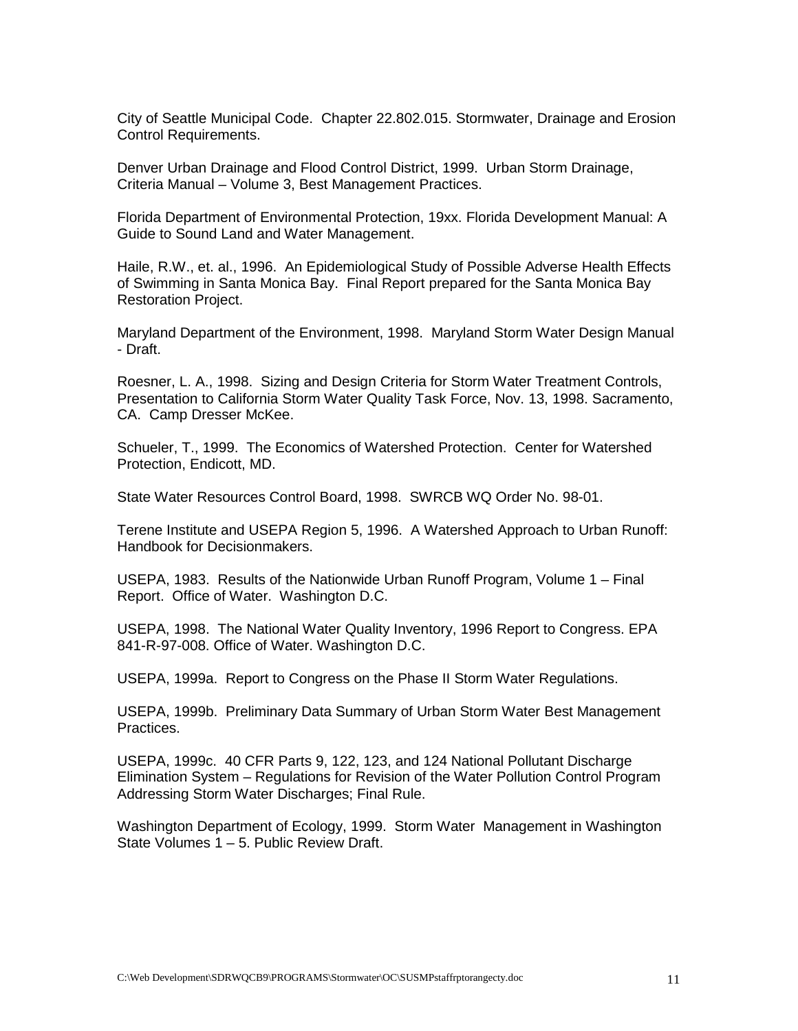City of Seattle Municipal Code. Chapter 22.802.015. Stormwater, Drainage and Erosion Control Requirements.

Denver Urban Drainage and Flood Control District, 1999. Urban Storm Drainage, Criteria Manual – Volume 3, Best Management Practices.

Florida Department of Environmental Protection, 19xx. Florida Development Manual: A Guide to Sound Land and Water Management.

Haile, R.W., et. al., 1996. An Epidemiological Study of Possible Adverse Health Effects of Swimming in Santa Monica Bay. Final Report prepared for the Santa Monica Bay Restoration Project.

Maryland Department of the Environment, 1998. Maryland Storm Water Design Manual - Draft.

Roesner, L. A., 1998. Sizing and Design Criteria for Storm Water Treatment Controls, Presentation to California Storm Water Quality Task Force, Nov. 13, 1998. Sacramento, CA. Camp Dresser McKee.

Schueler, T., 1999. The Economics of Watershed Protection. Center for Watershed Protection, Endicott, MD.

State Water Resources Control Board, 1998. SWRCB WQ Order No. 98-01.

Terene Institute and USEPA Region 5, 1996. A Watershed Approach to Urban Runoff: Handbook for Decisionmakers.

USEPA, 1983. Results of the Nationwide Urban Runoff Program, Volume 1 – Final Report. Office of Water. Washington D.C.

USEPA, 1998. The National Water Quality Inventory, 1996 Report to Congress. EPA 841-R-97-008. Office of Water. Washington D.C.

USEPA, 1999a. Report to Congress on the Phase II Storm Water Regulations.

USEPA, 1999b. Preliminary Data Summary of Urban Storm Water Best Management Practices.

USEPA, 1999c. 40 CFR Parts 9, 122, 123, and 124 National Pollutant Discharge Elimination System – Regulations for Revision of the Water Pollution Control Program Addressing Storm Water Discharges; Final Rule.

Washington Department of Ecology, 1999. Storm Water Management in Washington State Volumes 1 – 5. Public Review Draft.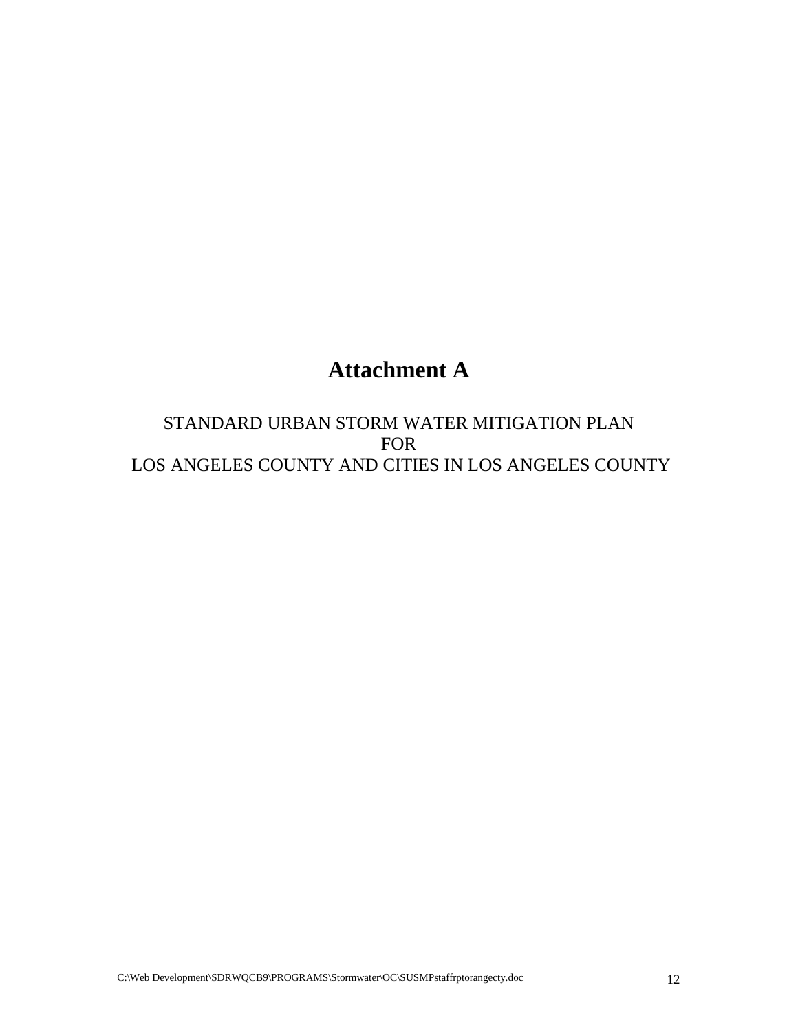# **Attachment A**

STANDARD URBAN STORM WATER MITIGATION PLAN FOR LOS ANGELES COUNTY AND CITIES IN LOS ANGELES COUNTY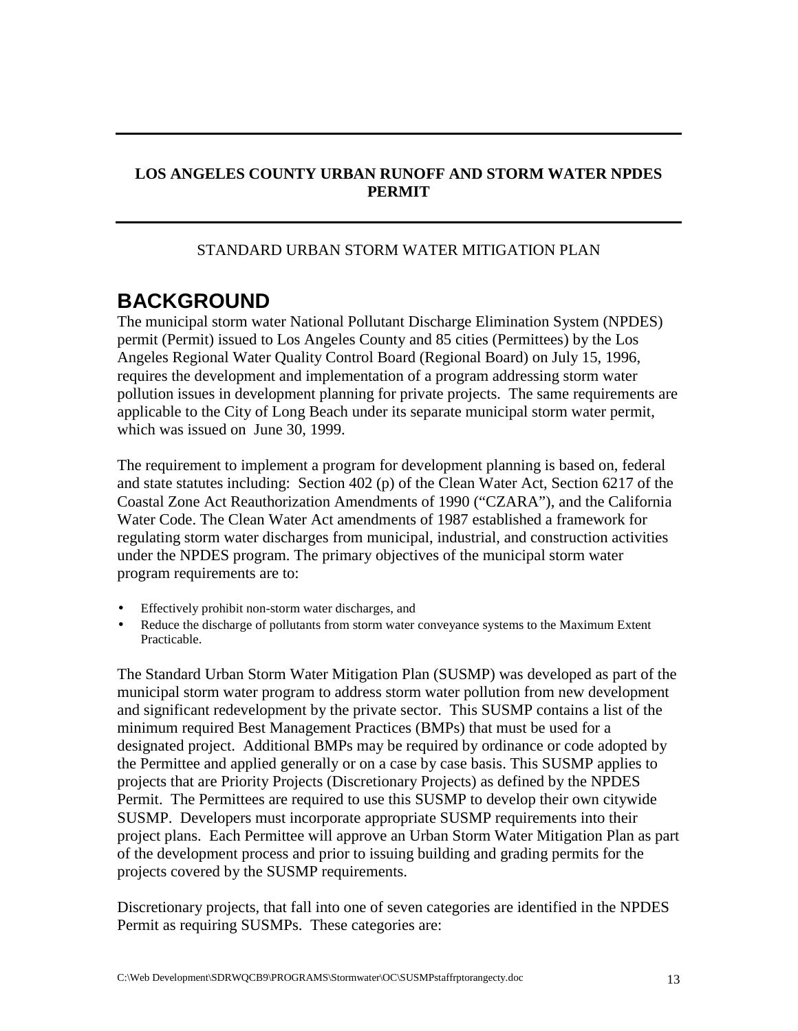## **LOS ANGELES COUNTY URBAN RUNOFF AND STORM WATER NPDES PERMIT**

## STANDARD URBAN STORM WATER MITIGATION PLAN

## **BACKGROUND**

The municipal storm water National Pollutant Discharge Elimination System (NPDES) permit (Permit) issued to Los Angeles County and 85 cities (Permittees) by the Los Angeles Regional Water Quality Control Board (Regional Board) on July 15, 1996, requires the development and implementation of a program addressing storm water pollution issues in development planning for private projects. The same requirements are applicable to the City of Long Beach under its separate municipal storm water permit, which was issued on June 30, 1999.

The requirement to implement a program for development planning is based on, federal and state statutes including: Section 402 (p) of the Clean Water Act, Section 6217 of the Coastal Zone Act Reauthorization Amendments of 1990 ("CZARA"), and the California Water Code. The Clean Water Act amendments of 1987 established a framework for regulating storm water discharges from municipal, industrial, and construction activities under the NPDES program. The primary objectives of the municipal storm water program requirements are to:

- Effectively prohibit non-storm water discharges, and
- Reduce the discharge of pollutants from storm water conveyance systems to the Maximum Extent Practicable.

The Standard Urban Storm Water Mitigation Plan (SUSMP) was developed as part of the municipal storm water program to address storm water pollution from new development and significant redevelopment by the private sector. This SUSMP contains a list of the minimum required Best Management Practices (BMPs) that must be used for a designated project. Additional BMPs may be required by ordinance or code adopted by the Permittee and applied generally or on a case by case basis. This SUSMP applies to projects that are Priority Projects (Discretionary Projects) as defined by the NPDES Permit. The Permittees are required to use this SUSMP to develop their own citywide SUSMP. Developers must incorporate appropriate SUSMP requirements into their project plans. Each Permittee will approve an Urban Storm Water Mitigation Plan as part of the development process and prior to issuing building and grading permits for the projects covered by the SUSMP requirements.

Discretionary projects, that fall into one of seven categories are identified in the NPDES Permit as requiring SUSMPs. These categories are: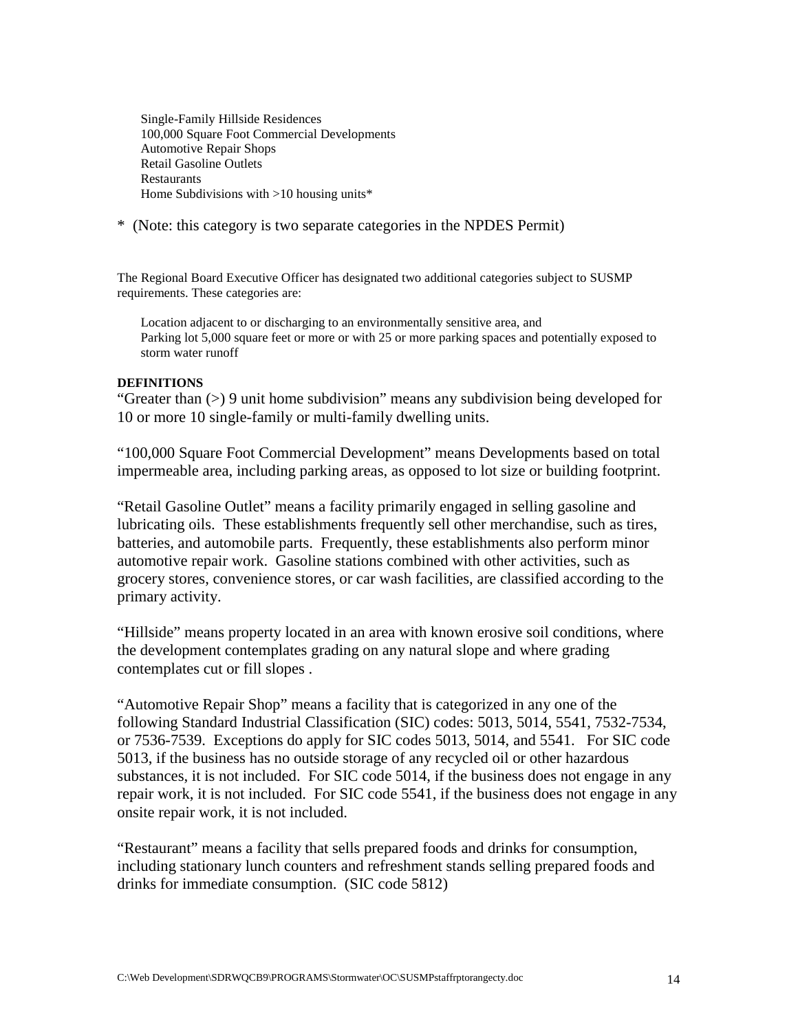Single-Family Hillside Residences 100,000 Square Foot Commercial Developments Automotive Repair Shops Retail Gasoline Outlets **Restaurants** Home Subdivisions with >10 housing units\*

\* (Note: this category is two separate categories in the NPDES Permit)

The Regional Board Executive Officer has designated two additional categories subject to SUSMP requirements. These categories are:

Location adjacent to or discharging to an environmentally sensitive area, and Parking lot 5,000 square feet or more or with 25 or more parking spaces and potentially exposed to storm water runoff

#### **DEFINITIONS**

"Greater than (>) 9 unit home subdivision" means any subdivision being developed for 10 or more 10 single-family or multi-family dwelling units.

"100,000 Square Foot Commercial Development" means Developments based on total impermeable area, including parking areas, as opposed to lot size or building footprint.

"Retail Gasoline Outlet" means a facility primarily engaged in selling gasoline and lubricating oils. These establishments frequently sell other merchandise, such as tires, batteries, and automobile parts. Frequently, these establishments also perform minor automotive repair work. Gasoline stations combined with other activities, such as grocery stores, convenience stores, or car wash facilities, are classified according to the primary activity.

"Hillside" means property located in an area with known erosive soil conditions, where the development contemplates grading on any natural slope and where grading contemplates cut or fill slopes .

"Automotive Repair Shop" means a facility that is categorized in any one of the following Standard Industrial Classification (SIC) codes: 5013, 5014, 5541, 7532-7534, or 7536-7539. Exceptions do apply for SIC codes 5013, 5014, and 5541. For SIC code 5013, if the business has no outside storage of any recycled oil or other hazardous substances, it is not included. For SIC code 5014, if the business does not engage in any repair work, it is not included. For SIC code 5541, if the business does not engage in any onsite repair work, it is not included.

"Restaurant" means a facility that sells prepared foods and drinks for consumption, including stationary lunch counters and refreshment stands selling prepared foods and drinks for immediate consumption. (SIC code 5812)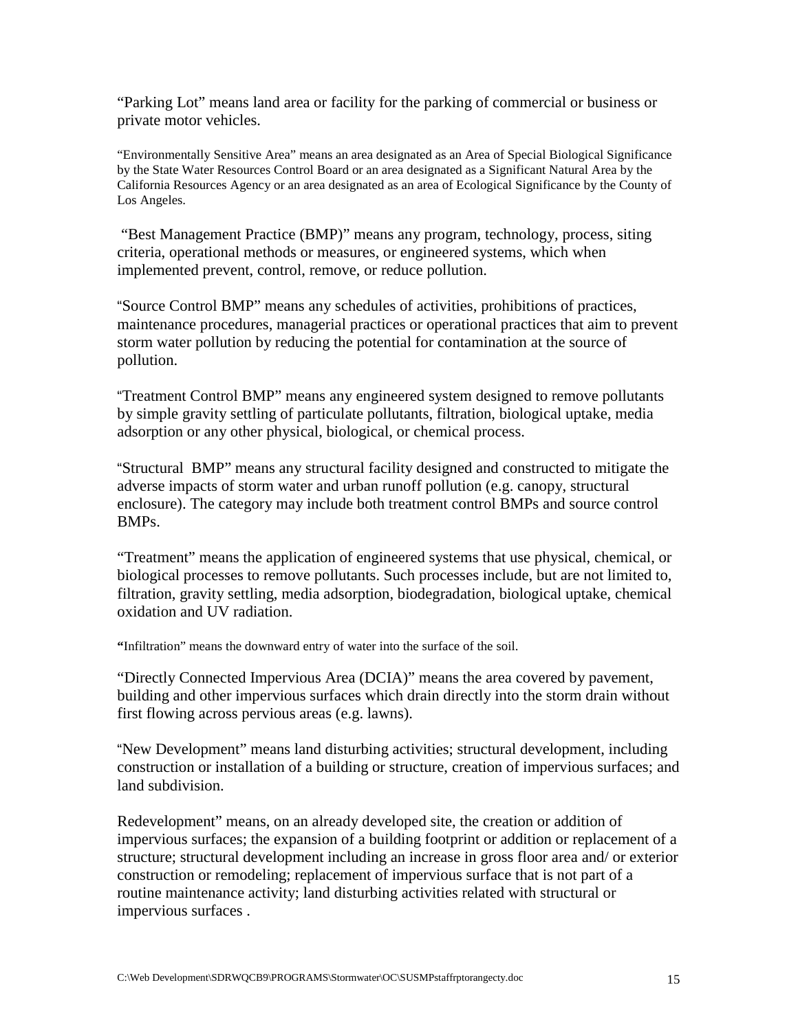"Parking Lot" means land area or facility for the parking of commercial or business or private motor vehicles.

"Environmentally Sensitive Area" means an area designated as an Area of Special Biological Significance by the State Water Resources Control Board or an area designated as a Significant Natural Area by the California Resources Agency or an area designated as an area of Ecological Significance by the County of Los Angeles.

 "Best Management Practice (BMP)" means any program, technology, process, siting criteria, operational methods or measures, or engineered systems, which when implemented prevent, control, remove, or reduce pollution.

"Source Control BMP" means any schedules of activities, prohibitions of practices, maintenance procedures, managerial practices or operational practices that aim to prevent storm water pollution by reducing the potential for contamination at the source of pollution.

"Treatment Control BMP" means any engineered system designed to remove pollutants by simple gravity settling of particulate pollutants, filtration, biological uptake, media adsorption or any other physical, biological, or chemical process.

"Structural BMP" means any structural facility designed and constructed to mitigate the adverse impacts of storm water and urban runoff pollution (e.g. canopy, structural enclosure). The category may include both treatment control BMPs and source control BMPs.

"Treatment" means the application of engineered systems that use physical, chemical, or biological processes to remove pollutants. Such processes include, but are not limited to, filtration, gravity settling, media adsorption, biodegradation, biological uptake, chemical oxidation and UV radiation.

**"**Infiltration" means the downward entry of water into the surface of the soil.

"Directly Connected Impervious Area (DCIA)" means the area covered by pavement, building and other impervious surfaces which drain directly into the storm drain without first flowing across pervious areas (e.g. lawns).

"New Development" means land disturbing activities; structural development, including construction or installation of a building or structure, creation of impervious surfaces; and land subdivision.

Redevelopment" means, on an already developed site, the creation or addition of impervious surfaces; the expansion of a building footprint or addition or replacement of a structure; structural development including an increase in gross floor area and/ or exterior construction or remodeling; replacement of impervious surface that is not part of a routine maintenance activity; land disturbing activities related with structural or impervious surfaces .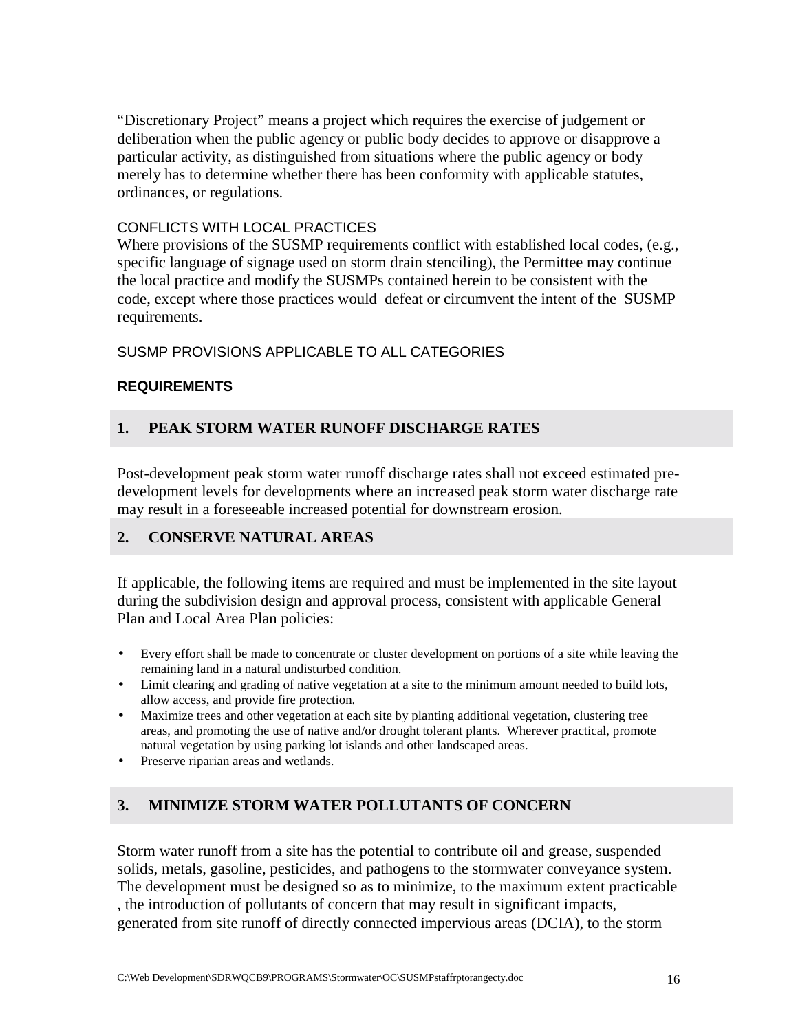"Discretionary Project" means a project which requires the exercise of judgement or deliberation when the public agency or public body decides to approve or disapprove a particular activity, as distinguished from situations where the public agency or body merely has to determine whether there has been conformity with applicable statutes, ordinances, or regulations.

#### CONFLICTS WITH LOCAL PRACTICES

Where provisions of the SUSMP requirements conflict with established local codes, (e.g., specific language of signage used on storm drain stenciling), the Permittee may continue the local practice and modify the SUSMPs contained herein to be consistent with the code, except where those practices would defeat or circumvent the intent of the SUSMP requirements.

SUSMP PROVISIONS APPLICABLE TO ALL CATEGORIES

#### **REQUIREMENTS**

## **1. PEAK STORM WATER RUNOFF DISCHARGE RATES**

Post-development peak storm water runoff discharge rates shall not exceed estimated predevelopment levels for developments where an increased peak storm water discharge rate may result in a foreseeable increased potential for downstream erosion.

## **2. CONSERVE NATURAL AREAS**

If applicable, the following items are required and must be implemented in the site layout during the subdivision design and approval process, consistent with applicable General Plan and Local Area Plan policies:

- Every effort shall be made to concentrate or cluster development on portions of a site while leaving the remaining land in a natural undisturbed condition.
- Limit clearing and grading of native vegetation at a site to the minimum amount needed to build lots, allow access, and provide fire protection.
- Maximize trees and other vegetation at each site by planting additional vegetation, clustering tree areas, and promoting the use of native and/or drought tolerant plants. Wherever practical, promote natural vegetation by using parking lot islands and other landscaped areas.
- Preserve riparian areas and wetlands.

## **3. MINIMIZE STORM WATER POLLUTANTS OF CONCERN**

Storm water runoff from a site has the potential to contribute oil and grease, suspended solids, metals, gasoline, pesticides, and pathogens to the stormwater conveyance system. The development must be designed so as to minimize, to the maximum extent practicable , the introduction of pollutants of concern that may result in significant impacts, generated from site runoff of directly connected impervious areas (DCIA), to the storm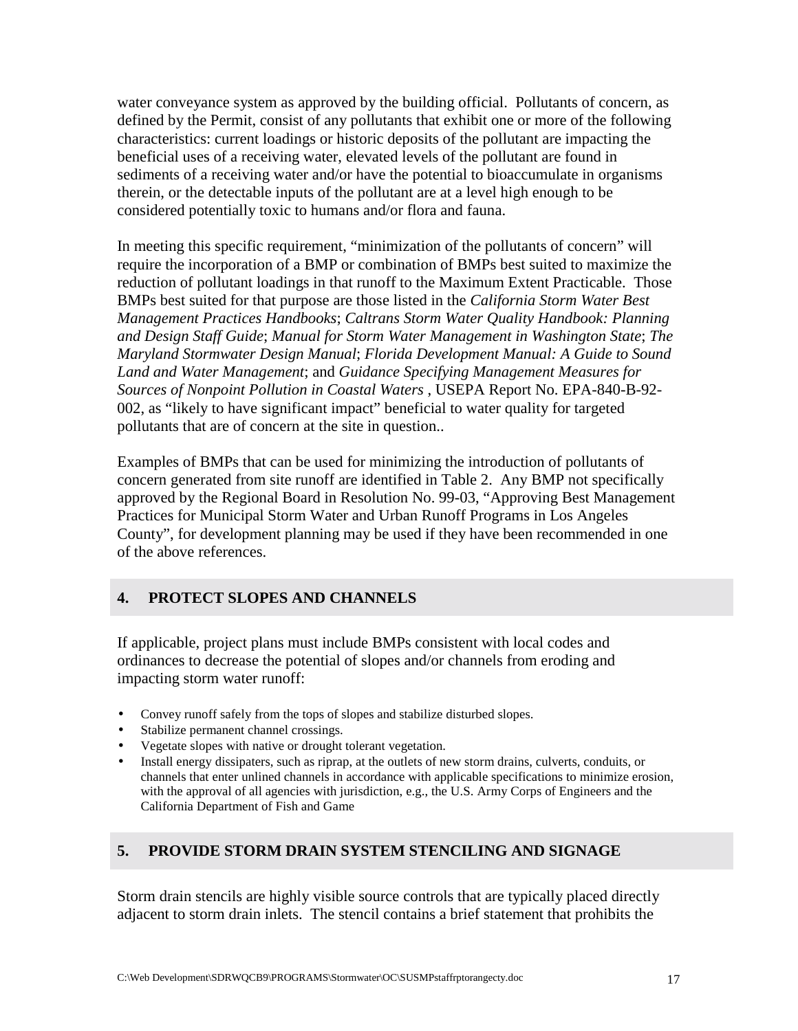water conveyance system as approved by the building official. Pollutants of concern, as defined by the Permit, consist of any pollutants that exhibit one or more of the following characteristics: current loadings or historic deposits of the pollutant are impacting the beneficial uses of a receiving water, elevated levels of the pollutant are found in sediments of a receiving water and/or have the potential to bioaccumulate in organisms therein, or the detectable inputs of the pollutant are at a level high enough to be considered potentially toxic to humans and/or flora and fauna.

In meeting this specific requirement, "minimization of the pollutants of concern" will require the incorporation of a BMP or combination of BMPs best suited to maximize the reduction of pollutant loadings in that runoff to the Maximum Extent Practicable. Those BMPs best suited for that purpose are those listed in the *California Storm Water Best Management Practices Handbooks*; *Caltrans Storm Water Quality Handbook: Planning and Design Staff Guide*; *Manual for Storm Water Management in Washington State*; *The Maryland Stormwater Design Manual*; *Florida Development Manual: A Guide to Sound Land and Water Management*; and *Guidance Specifying Management Measures for Sources of Nonpoint Pollution in Coastal Waters* , USEPA Report No. EPA-840-B-92- 002, as "likely to have significant impact" beneficial to water quality for targeted pollutants that are of concern at the site in question..

Examples of BMPs that can be used for minimizing the introduction of pollutants of concern generated from site runoff are identified in Table 2. Any BMP not specifically approved by the Regional Board in Resolution No. 99-03, "Approving Best Management Practices for Municipal Storm Water and Urban Runoff Programs in Los Angeles County", for development planning may be used if they have been recommended in one of the above references.

## **4. PROTECT SLOPES AND CHANNELS**

If applicable, project plans must include BMPs consistent with local codes and ordinances to decrease the potential of slopes and/or channels from eroding and impacting storm water runoff:

- Convey runoff safely from the tops of slopes and stabilize disturbed slopes.
- Stabilize permanent channel crossings.
- Vegetate slopes with native or drought tolerant vegetation.
- Install energy dissipaters, such as riprap, at the outlets of new storm drains, culverts, conduits, or channels that enter unlined channels in accordance with applicable specifications to minimize erosion, with the approval of all agencies with jurisdiction, e.g., the U.S. Army Corps of Engineers and the California Department of Fish and Game

## **5. PROVIDE STORM DRAIN SYSTEM STENCILING AND SIGNAGE**

Storm drain stencils are highly visible source controls that are typically placed directly adjacent to storm drain inlets. The stencil contains a brief statement that prohibits the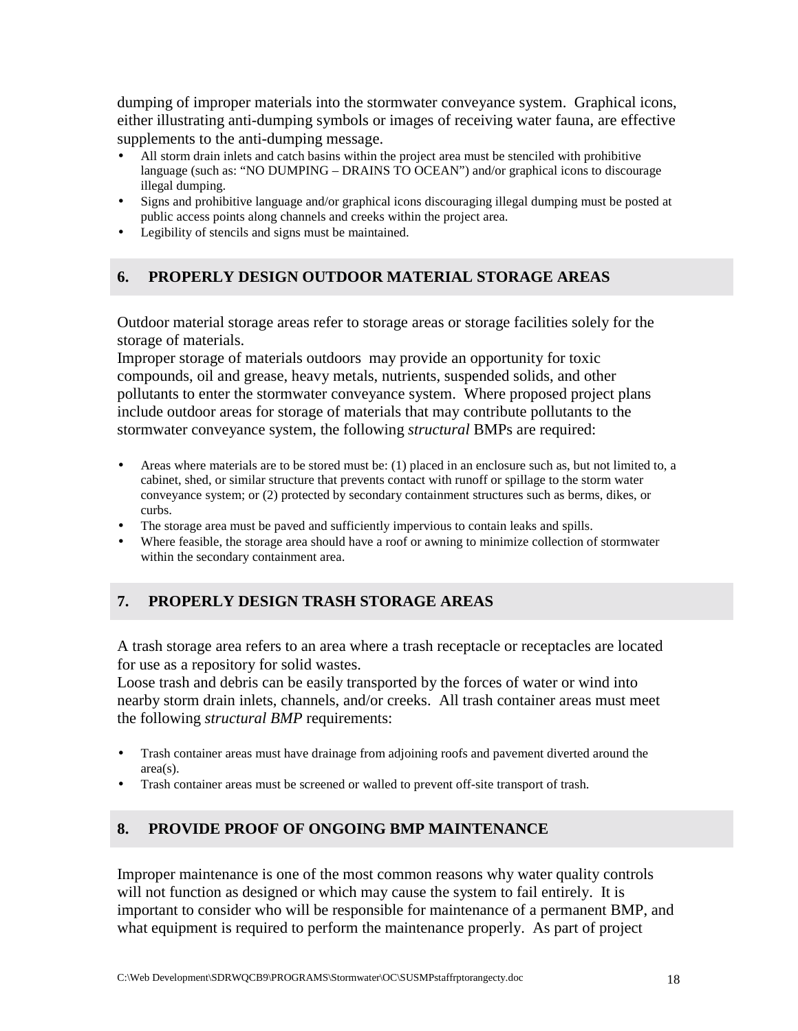dumping of improper materials into the stormwater conveyance system. Graphical icons, either illustrating anti-dumping symbols or images of receiving water fauna, are effective supplements to the anti-dumping message.

- All storm drain inlets and catch basins within the project area must be stenciled with prohibitive language (such as: "NO DUMPING – DRAINS TO OCEAN") and/or graphical icons to discourage illegal dumping.
- Signs and prohibitive language and/or graphical icons discouraging illegal dumping must be posted at public access points along channels and creeks within the project area.
- Legibility of stencils and signs must be maintained.

## **6. PROPERLY DESIGN OUTDOOR MATERIAL STORAGE AREAS**

Outdoor material storage areas refer to storage areas or storage facilities solely for the storage of materials.

Improper storage of materials outdoors may provide an opportunity for toxic compounds, oil and grease, heavy metals, nutrients, suspended solids, and other pollutants to enter the stormwater conveyance system. Where proposed project plans include outdoor areas for storage of materials that may contribute pollutants to the stormwater conveyance system, the following *structural* BMPs are required:

- Areas where materials are to be stored must be: (1) placed in an enclosure such as, but not limited to, a cabinet, shed, or similar structure that prevents contact with runoff or spillage to the storm water conveyance system; or (2) protected by secondary containment structures such as berms, dikes, or curbs.
- The storage area must be paved and sufficiently impervious to contain leaks and spills.
- Where feasible, the storage area should have a roof or awning to minimize collection of stormwater within the secondary containment area.

## **7. PROPERLY DESIGN TRASH STORAGE AREAS**

A trash storage area refers to an area where a trash receptacle or receptacles are located for use as a repository for solid wastes.

Loose trash and debris can be easily transported by the forces of water or wind into nearby storm drain inlets, channels, and/or creeks. All trash container areas must meet the following *structural BMP* requirements:

- Trash container areas must have drainage from adjoining roofs and pavement diverted around the area(s).
- Trash container areas must be screened or walled to prevent off-site transport of trash.

## **8. PROVIDE PROOF OF ONGOING BMP MAINTENANCE**

Improper maintenance is one of the most common reasons why water quality controls will not function as designed or which may cause the system to fail entirely. It is important to consider who will be responsible for maintenance of a permanent BMP, and what equipment is required to perform the maintenance properly. As part of project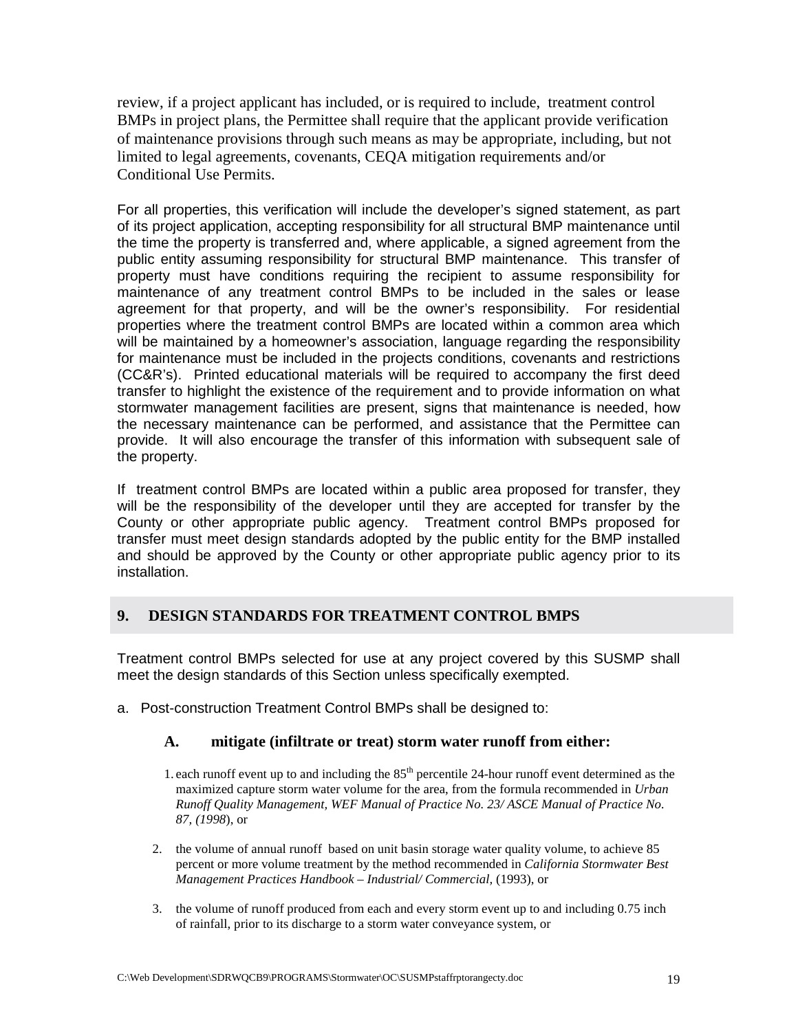review, if a project applicant has included, or is required to include, treatment control BMPs in project plans, the Permittee shall require that the applicant provide verification of maintenance provisions through such means as may be appropriate, including, but not limited to legal agreements, covenants, CEQA mitigation requirements and/or Conditional Use Permits.

For all properties, this verification will include the developer's signed statement, as part of its project application, accepting responsibility for all structural BMP maintenance until the time the property is transferred and, where applicable, a signed agreement from the public entity assuming responsibility for structural BMP maintenance. This transfer of property must have conditions requiring the recipient to assume responsibility for maintenance of any treatment control BMPs to be included in the sales or lease agreement for that property, and will be the owner's responsibility. For residential properties where the treatment control BMPs are located within a common area which will be maintained by a homeowner's association, language regarding the responsibility for maintenance must be included in the projects conditions, covenants and restrictions (CC&R's). Printed educational materials will be required to accompany the first deed transfer to highlight the existence of the requirement and to provide information on what stormwater management facilities are present, signs that maintenance is needed, how the necessary maintenance can be performed, and assistance that the Permittee can provide. It will also encourage the transfer of this information with subsequent sale of the property.

If treatment control BMPs are located within a public area proposed for transfer, they will be the responsibility of the developer until they are accepted for transfer by the County or other appropriate public agency. Treatment control BMPs proposed for transfer must meet design standards adopted by the public entity for the BMP installed and should be approved by the County or other appropriate public agency prior to its installation.

## **9. DESIGN STANDARDS FOR TREATMENT CONTROL BMPS**

Treatment control BMPs selected for use at any project covered by this SUSMP shall meet the design standards of this Section unless specifically exempted.

a. Post-construction Treatment Control BMPs shall be designed to:

## **A. mitigate (infiltrate or treat) storm water runoff from either:**

- 1. each runoff event up to and including the 85<sup>th</sup> percentile 24-hour runoff event determined as the maximized capture storm water volume for the area, from the formula recommended in *Urban Runoff Quality Management, WEF Manual of Practice No. 23/ ASCE Manual of Practice No. 87, (1998*), or
- 2. the volume of annual runoff based on unit basin storage water quality volume, to achieve 85 percent or more volume treatment by the method recommended in *California Stormwater Best Management Practices Handbook – Industrial/ Commercial,* (1993), or
- 3. the volume of runoff produced from each and every storm event up to and including 0.75 inch of rainfall, prior to its discharge to a storm water conveyance system, or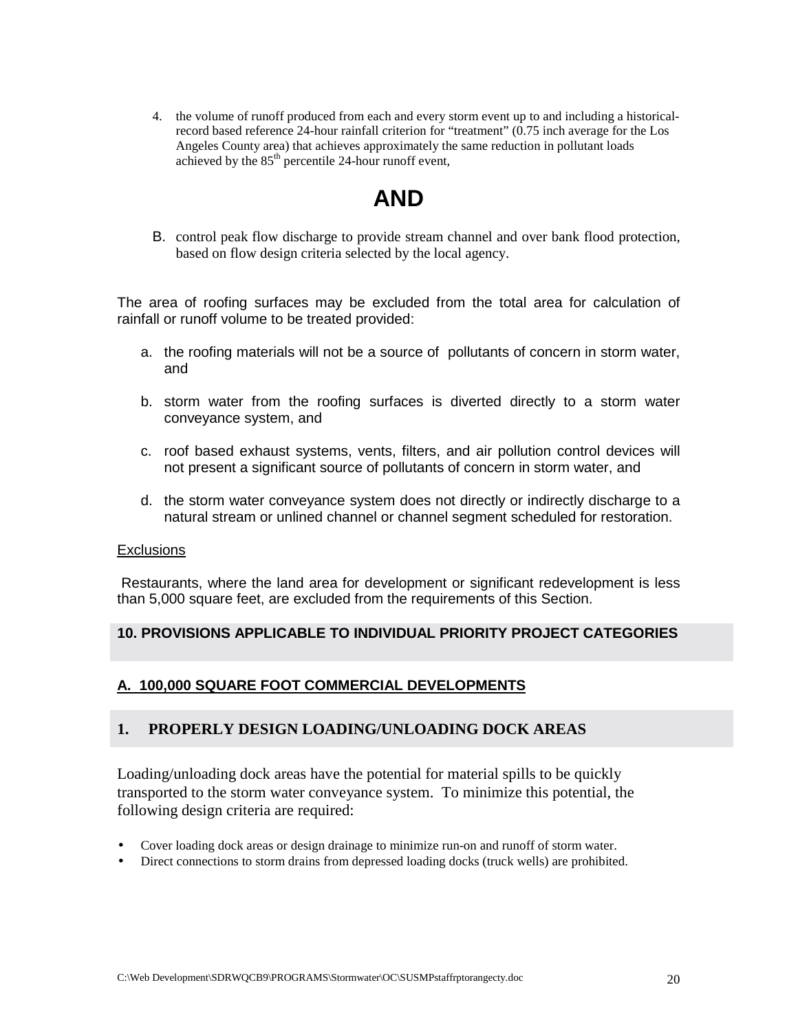4. the volume of runoff produced from each and every storm event up to and including a historicalrecord based reference 24-hour rainfall criterion for "treatment" (0.75 inch average for the Los Angeles County area) that achieves approximately the same reduction in pollutant loads achieved by the  $85<sup>th</sup>$  percentile 24-hour runoff event,

# **AND**

B. control peak flow discharge to provide stream channel and over bank flood protection, based on flow design criteria selected by the local agency.

The area of roofing surfaces may be excluded from the total area for calculation of rainfall or runoff volume to be treated provided:

- a. the roofing materials will not be a source of pollutants of concern in storm water, and
- b. storm water from the roofing surfaces is diverted directly to a storm water conveyance system, and
- c. roof based exhaust systems, vents, filters, and air pollution control devices will not present a significant source of pollutants of concern in storm water, and
- d. the storm water conveyance system does not directly or indirectly discharge to a natural stream or unlined channel or channel segment scheduled for restoration.

#### **Exclusions**

 Restaurants, where the land area for development or significant redevelopment is less than 5,000 square feet, are excluded from the requirements of this Section.

## **10. PROVISIONS APPLICABLE TO INDIVIDUAL PRIORITY PROJECT CATEGORIES**

## **A. 100,000 SQUARE FOOT COMMERCIAL DEVELOPMENTS**

## **1. PROPERLY DESIGN LOADING/UNLOADING DOCK AREAS**

Loading/unloading dock areas have the potential for material spills to be quickly transported to the storm water conveyance system. To minimize this potential, the following design criteria are required:

- Cover loading dock areas or design drainage to minimize run-on and runoff of storm water.
- Direct connections to storm drains from depressed loading docks (truck wells) are prohibited.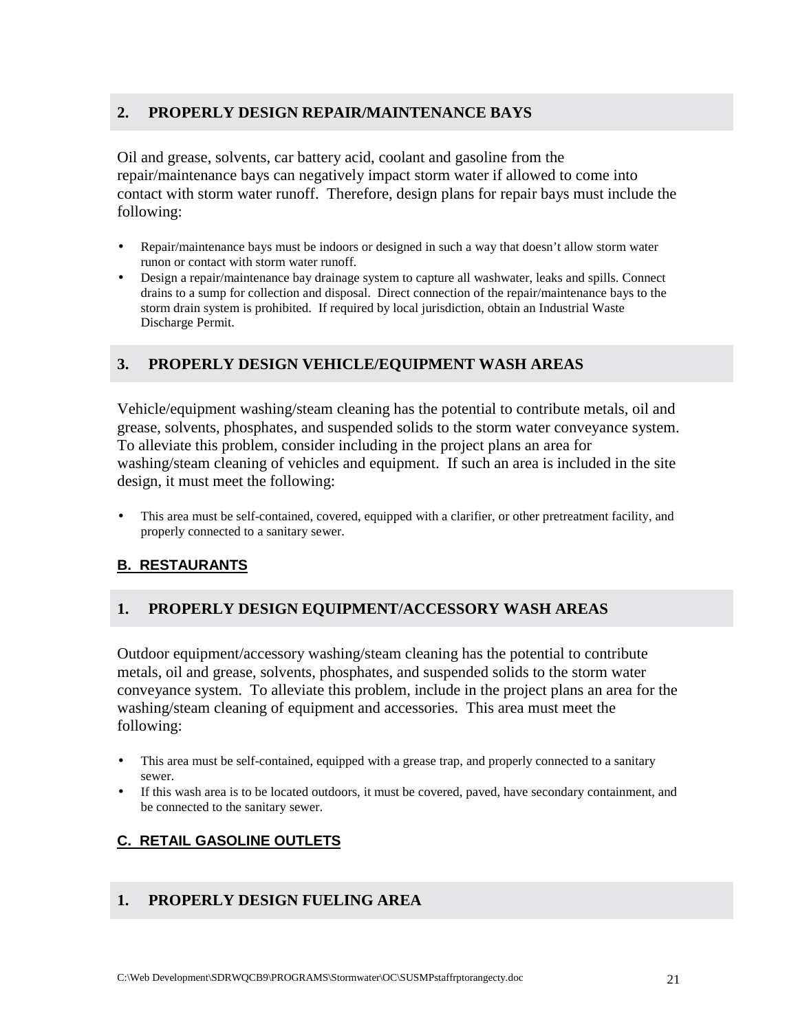## **2. PROPERLY DESIGN REPAIR/MAINTENANCE BAYS**

Oil and grease, solvents, car battery acid, coolant and gasoline from the repair/maintenance bays can negatively impact storm water if allowed to come into contact with storm water runoff. Therefore, design plans for repair bays must include the following:

- Repair/maintenance bays must be indoors or designed in such a way that doesn't allow storm water runon or contact with storm water runoff.
- Design a repair/maintenance bay drainage system to capture all washwater, leaks and spills. Connect drains to a sump for collection and disposal. Direct connection of the repair/maintenance bays to the storm drain system is prohibited. If required by local jurisdiction, obtain an Industrial Waste Discharge Permit.

## **3. PROPERLY DESIGN VEHICLE/EQUIPMENT WASH AREAS**

Vehicle/equipment washing/steam cleaning has the potential to contribute metals, oil and grease, solvents, phosphates, and suspended solids to the storm water conveyance system. To alleviate this problem, consider including in the project plans an area for washing/steam cleaning of vehicles and equipment. If such an area is included in the site design, it must meet the following:

• This area must be self-contained, covered, equipped with a clarifier, or other pretreatment facility, and properly connected to a sanitary sewer.

## **B. RESTAURANTS**

## **1. PROPERLY DESIGN EQUIPMENT/ACCESSORY WASH AREAS**

Outdoor equipment/accessory washing/steam cleaning has the potential to contribute metals, oil and grease, solvents, phosphates, and suspended solids to the storm water conveyance system. To alleviate this problem, include in the project plans an area for the washing/steam cleaning of equipment and accessories. This area must meet the following:

- This area must be self-contained, equipped with a grease trap, and properly connected to a sanitary sewer.
- If this wash area is to be located outdoors, it must be covered, paved, have secondary containment, and be connected to the sanitary sewer.

## **C. RETAIL GASOLINE OUTLETS**

#### **1. PROPERLY DESIGN FUELING AREA**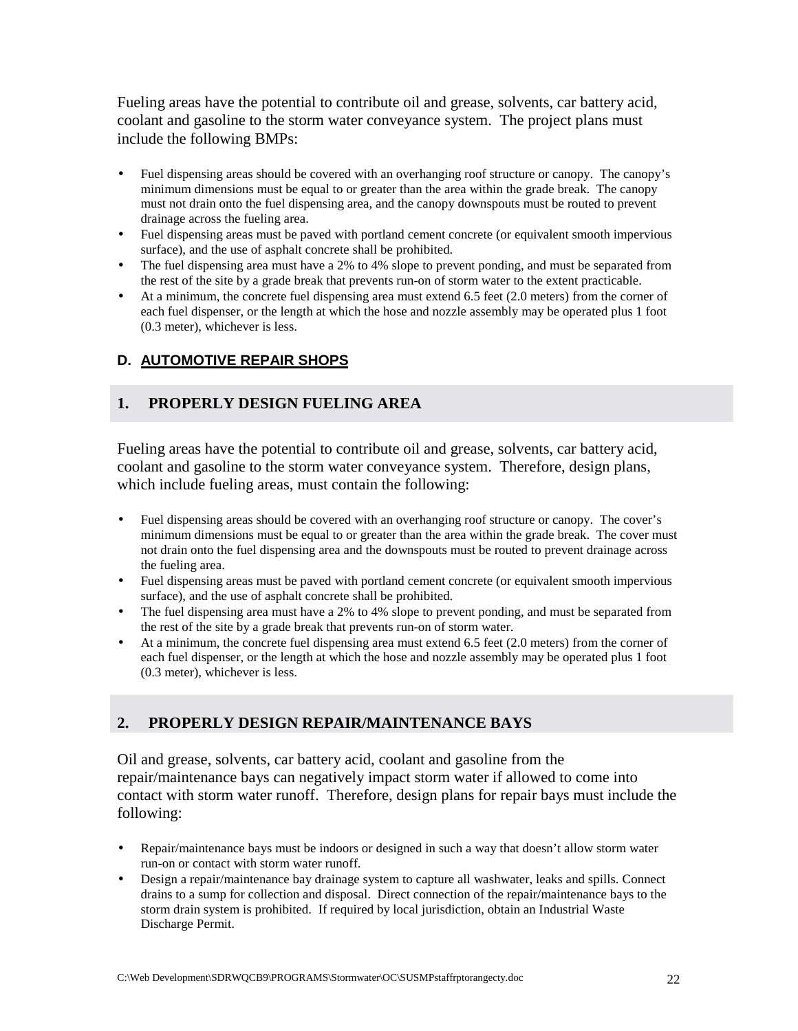Fueling areas have the potential to contribute oil and grease, solvents, car battery acid, coolant and gasoline to the storm water conveyance system. The project plans must include the following BMPs:

- Fuel dispensing areas should be covered with an overhanging roof structure or canopy. The canopy's minimum dimensions must be equal to or greater than the area within the grade break. The canopy must not drain onto the fuel dispensing area, and the canopy downspouts must be routed to prevent drainage across the fueling area.
- Fuel dispensing areas must be paved with portland cement concrete (or equivalent smooth impervious surface), and the use of asphalt concrete shall be prohibited.
- The fuel dispensing area must have a 2% to 4% slope to prevent ponding, and must be separated from the rest of the site by a grade break that prevents run-on of storm water to the extent practicable.
- At a minimum, the concrete fuel dispensing area must extend 6.5 feet (2.0 meters) from the corner of each fuel dispenser, or the length at which the hose and nozzle assembly may be operated plus 1 foot (0.3 meter), whichever is less.

## **D. AUTOMOTIVE REPAIR SHOPS**

## **1. PROPERLY DESIGN FUELING AREA**

Fueling areas have the potential to contribute oil and grease, solvents, car battery acid, coolant and gasoline to the storm water conveyance system. Therefore, design plans, which include fueling areas, must contain the following:

- Fuel dispensing areas should be covered with an overhanging roof structure or canopy. The cover's minimum dimensions must be equal to or greater than the area within the grade break. The cover must not drain onto the fuel dispensing area and the downspouts must be routed to prevent drainage across the fueling area.
- Fuel dispensing areas must be paved with portland cement concrete (or equivalent smooth impervious surface), and the use of asphalt concrete shall be prohibited.
- The fuel dispensing area must have a 2% to 4% slope to prevent ponding, and must be separated from the rest of the site by a grade break that prevents run-on of storm water.
- At a minimum, the concrete fuel dispensing area must extend 6.5 feet (2.0 meters) from the corner of each fuel dispenser, or the length at which the hose and nozzle assembly may be operated plus 1 foot (0.3 meter), whichever is less.

## **2. PROPERLY DESIGN REPAIR/MAINTENANCE BAYS**

Oil and grease, solvents, car battery acid, coolant and gasoline from the repair/maintenance bays can negatively impact storm water if allowed to come into contact with storm water runoff. Therefore, design plans for repair bays must include the following:

- Repair/maintenance bays must be indoors or designed in such a way that doesn't allow storm water run-on or contact with storm water runoff.
- Design a repair/maintenance bay drainage system to capture all washwater, leaks and spills. Connect drains to a sump for collection and disposal. Direct connection of the repair/maintenance bays to the storm drain system is prohibited. If required by local jurisdiction, obtain an Industrial Waste Discharge Permit.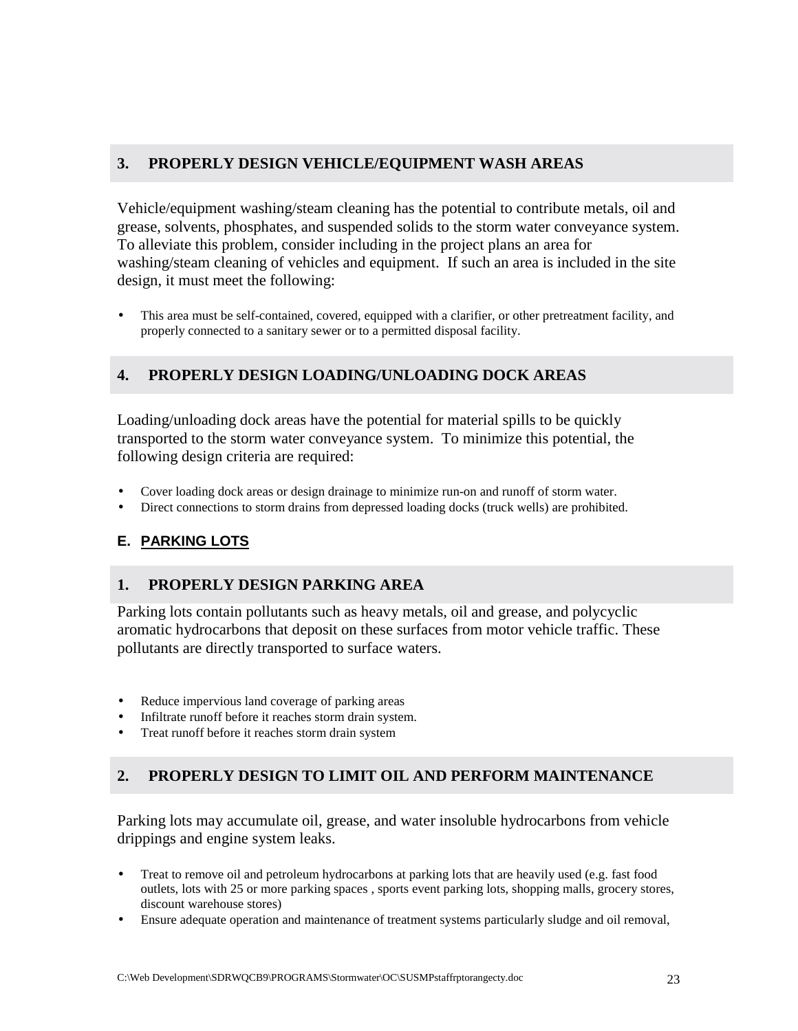## **3. PROPERLY DESIGN VEHICLE/EQUIPMENT WASH AREAS**

Vehicle/equipment washing/steam cleaning has the potential to contribute metals, oil and grease, solvents, phosphates, and suspended solids to the storm water conveyance system. To alleviate this problem, consider including in the project plans an area for washing/steam cleaning of vehicles and equipment. If such an area is included in the site design, it must meet the following:

• This area must be self-contained, covered, equipped with a clarifier, or other pretreatment facility, and properly connected to a sanitary sewer or to a permitted disposal facility.

## **4. PROPERLY DESIGN LOADING/UNLOADING DOCK AREAS**

Loading/unloading dock areas have the potential for material spills to be quickly transported to the storm water conveyance system. To minimize this potential, the following design criteria are required:

- Cover loading dock areas or design drainage to minimize run-on and runoff of storm water.
- Direct connections to storm drains from depressed loading docks (truck wells) are prohibited.

## **E. PARKING LOTS**

## **1. PROPERLY DESIGN PARKING AREA**

Parking lots contain pollutants such as heavy metals, oil and grease, and polycyclic aromatic hydrocarbons that deposit on these surfaces from motor vehicle traffic. These pollutants are directly transported to surface waters.

- Reduce impervious land coverage of parking areas
- Infiltrate runoff before it reaches storm drain system.
- Treat runoff before it reaches storm drain system

## **2. PROPERLY DESIGN TO LIMIT OIL AND PERFORM MAINTENANCE**

Parking lots may accumulate oil, grease, and water insoluble hydrocarbons from vehicle drippings and engine system leaks.

- Treat to remove oil and petroleum hydrocarbons at parking lots that are heavily used (e.g. fast food outlets, lots with 25 or more parking spaces , sports event parking lots, shopping malls, grocery stores, discount warehouse stores)
- Ensure adequate operation and maintenance of treatment systems particularly sludge and oil removal,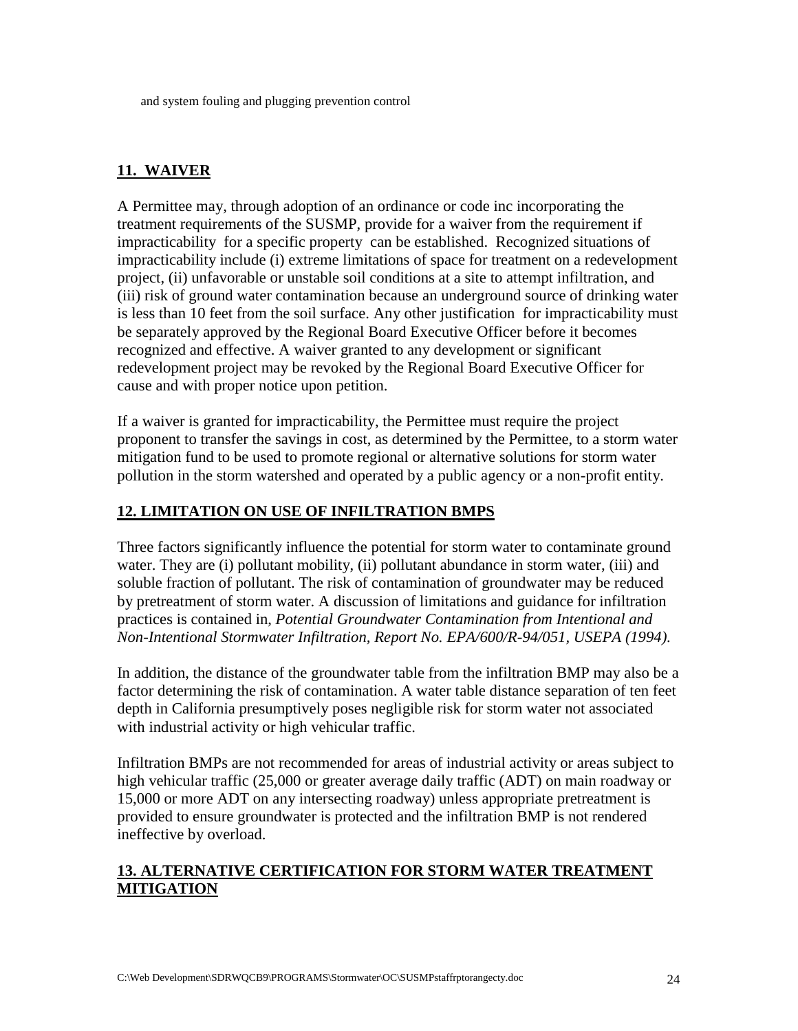## **11. WAIVER**

A Permittee may, through adoption of an ordinance or code inc incorporating the treatment requirements of the SUSMP, provide for a waiver from the requirement if impracticability for a specific property can be established. Recognized situations of impracticability include (i) extreme limitations of space for treatment on a redevelopment project, (ii) unfavorable or unstable soil conditions at a site to attempt infiltration, and (iii) risk of ground water contamination because an underground source of drinking water is less than 10 feet from the soil surface. Any other justification for impracticability must be separately approved by the Regional Board Executive Officer before it becomes recognized and effective. A waiver granted to any development or significant redevelopment project may be revoked by the Regional Board Executive Officer for cause and with proper notice upon petition.

If a waiver is granted for impracticability, the Permittee must require the project proponent to transfer the savings in cost, as determined by the Permittee, to a storm water mitigation fund to be used to promote regional or alternative solutions for storm water pollution in the storm watershed and operated by a public agency or a non-profit entity.

## **12. LIMITATION ON USE OF INFILTRATION BMPS**

Three factors significantly influence the potential for storm water to contaminate ground water. They are (i) pollutant mobility, (ii) pollutant abundance in storm water, (iii) and soluble fraction of pollutant. The risk of contamination of groundwater may be reduced by pretreatment of storm water. A discussion of limitations and guidance for infiltration practices is contained in, *Potential Groundwater Contamination from Intentional and Non-Intentional Stormwater Infiltration, Report No. EPA/600/R-94/051, USEPA (1994).*

In addition, the distance of the groundwater table from the infiltration BMP may also be a factor determining the risk of contamination. A water table distance separation of ten feet depth in California presumptively poses negligible risk for storm water not associated with industrial activity or high vehicular traffic.

Infiltration BMPs are not recommended for areas of industrial activity or areas subject to high vehicular traffic (25,000 or greater average daily traffic (ADT) on main roadway or 15,000 or more ADT on any intersecting roadway) unless appropriate pretreatment is provided to ensure groundwater is protected and the infiltration BMP is not rendered ineffective by overload.

## **13. ALTERNATIVE CERTIFICATION FOR STORM WATER TREATMENT MITIGATION**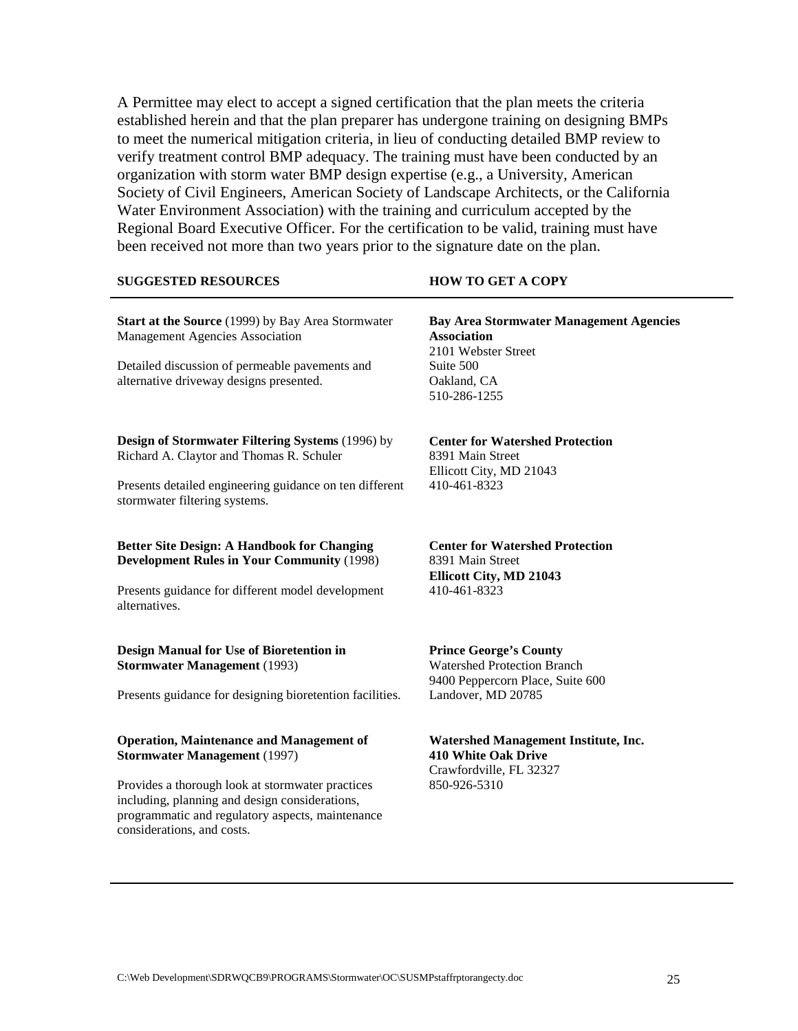A Permittee may elect to accept a signed certification that the plan meets the criteria established herein and that the plan preparer has undergone training on designing BMPs to meet the numerical mitigation criteria, in lieu of conducting detailed BMP review to verify treatment control BMP adequacy. The training must have been conducted by an organization with storm water BMP design expertise (e.g., a University, American Society of Civil Engineers, American Society of Landscape Architects, or the California Water Environment Association) with the training and curriculum accepted by the Regional Board Executive Officer. For the certification to be valid, training must have been received not more than two years prior to the signature date on the plan.

#### **SUGGESTED RESOURCES HOW TO GET A COPY Start at the Source** (1999) by Bay Area Stormwater Management Agencies Association Detailed discussion of permeable pavements and alternative driveway designs presented. **Bay Area Stormwater Management Agencies Association** 2101 Webster Street Suite 500 Oakland, CA 510-286-1255 **Design of Stormwater Filtering Systems** (1996) by Richard A. Claytor and Thomas R. Schuler Presents detailed engineering guidance on ten different stormwater filtering systems. **Center for Watershed Protection** 8391 Main Street Ellicott City, MD 21043 410-461-8323 **Better Site Design: A Handbook for Changing Development Rules in Your Community** (1998) Presents guidance for different model development alternatives. **Center for Watershed Protection** 8391 Main Street **Ellicott City, MD 21043** 410-461-8323 **Design Manual for Use of Bioretention in Stormwater Management** (1993) Presents guidance for designing bioretention facilities. **Prince George's County** Watershed Protection Branch 9400 Peppercorn Place, Suite 600 Landover, MD 20785 **Operation, Maintenance and Management of Stormwater Management** (1997) Provides a thorough look at stormwater practices **Watershed Management Institute, Inc. 410 White Oak Drive** Crawfordville, FL 32327 850-926-5310

including, planning and design considerations, programmatic and regulatory aspects, maintenance

considerations, and costs.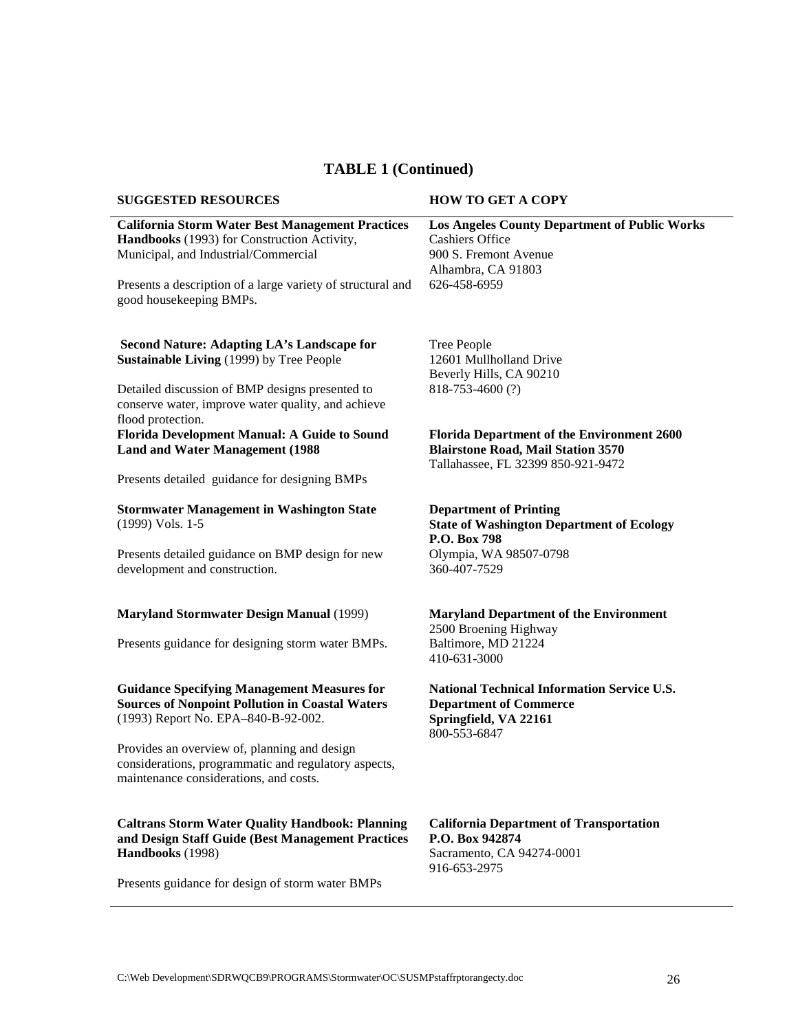## **TABLE 1 (Continued)**

| <b>SUGGESTED RESOURCES</b>                                                                                                                          | <b>HOW TO GET A COPY</b>                                                                                                             |
|-----------------------------------------------------------------------------------------------------------------------------------------------------|--------------------------------------------------------------------------------------------------------------------------------------|
| <b>California Storm Water Best Management Practices</b><br>Handbooks (1993) for Construction Activity,<br>Municipal, and Industrial/Commercial      | <b>Los Angeles County Department of Public Works</b><br><b>Cashiers Office</b><br>900 S. Fremont Avenue<br>Alhambra, CA 91803        |
| Presents a description of a large variety of structural and<br>good housekeeping BMPs.                                                              | 626-458-6959                                                                                                                         |
| Second Nature: Adapting LA's Landscape for<br><b>Sustainable Living (1999) by Tree People</b>                                                       | <b>Tree People</b><br>12601 Mullholland Drive<br>Beverly Hills, CA 90210                                                             |
| Detailed discussion of BMP designs presented to<br>conserve water, improve water quality, and achieve<br>flood protection.                          | 818-753-4600 (?)                                                                                                                     |
| Florida Development Manual: A Guide to Sound<br><b>Land and Water Management (1988)</b>                                                             | <b>Florida Department of the Environment 2600</b><br><b>Blairstone Road, Mail Station 3570</b><br>Tallahassee, FL 32399 850-921-9472 |
| Presents detailed guidance for designing BMPs                                                                                                       |                                                                                                                                      |
| <b>Stormwater Management in Washington State</b><br>(1999) Vols. 1-5                                                                                | <b>Department of Printing</b><br><b>State of Washington Department of Ecology</b><br>P.O. Box 798                                    |
| Presents detailed guidance on BMP design for new<br>development and construction.                                                                   | Olympia, WA 98507-0798<br>360-407-7529                                                                                               |
| <b>Maryland Stormwater Design Manual (1999)</b>                                                                                                     | <b>Maryland Department of the Environment</b><br>2500 Broening Highway                                                               |
| Presents guidance for designing storm water BMPs.                                                                                                   | Baltimore, MD 21224<br>410-631-3000                                                                                                  |
| <b>Guidance Specifying Management Measures for</b><br><b>Sources of Nonpoint Pollution in Coastal Waters</b><br>(1993) Report No. EPA-840-B-92-002. | <b>National Technical Information Service U.S.</b><br><b>Department of Commerce</b><br>Springfield, VA 22161<br>800-553-6847         |
| Provides an overview of, planning and design<br>considerations, programmatic and regulatory aspects,<br>maintenance considerations, and costs.      |                                                                                                                                      |
| <b>Caltrans Storm Water Quality Handbook: Planning</b><br>and Design Staff Guide (Best Management Practices<br>Handbooks (1998)                     | <b>California Department of Transportation</b><br>P.O. Box 942874<br>Sacramento, CA 94274-0001<br>916-653-2975                       |
| Presents guidance for design of storm water BMPs                                                                                                    |                                                                                                                                      |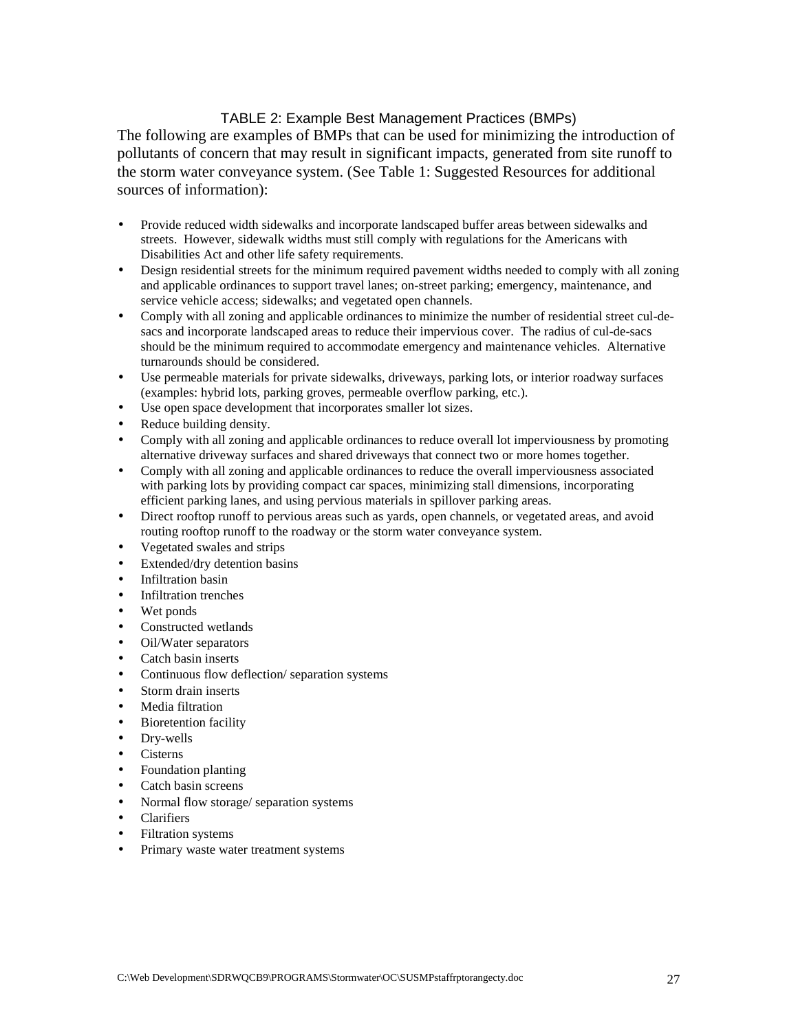#### TABLE 2: Example Best Management Practices (BMPs)

The following are examples of BMPs that can be used for minimizing the introduction of pollutants of concern that may result in significant impacts, generated from site runoff to the storm water conveyance system. (See Table 1: Suggested Resources for additional sources of information):

- Provide reduced width sidewalks and incorporate landscaped buffer areas between sidewalks and streets. However, sidewalk widths must still comply with regulations for the Americans with Disabilities Act and other life safety requirements.
- Design residential streets for the minimum required pavement widths needed to comply with all zoning and applicable ordinances to support travel lanes; on-street parking; emergency, maintenance, and service vehicle access; sidewalks; and vegetated open channels.
- Comply with all zoning and applicable ordinances to minimize the number of residential street cul-desacs and incorporate landscaped areas to reduce their impervious cover. The radius of cul-de-sacs should be the minimum required to accommodate emergency and maintenance vehicles. Alternative turnarounds should be considered.
- Use permeable materials for private sidewalks, driveways, parking lots, or interior roadway surfaces (examples: hybrid lots, parking groves, permeable overflow parking, etc.).
- Use open space development that incorporates smaller lot sizes.
- Reduce building density.
- Comply with all zoning and applicable ordinances to reduce overall lot imperviousness by promoting alternative driveway surfaces and shared driveways that connect two or more homes together.
- Comply with all zoning and applicable ordinances to reduce the overall imperviousness associated with parking lots by providing compact car spaces, minimizing stall dimensions, incorporating efficient parking lanes, and using pervious materials in spillover parking areas.
- Direct rooftop runoff to pervious areas such as yards, open channels, or vegetated areas, and avoid routing rooftop runoff to the roadway or the storm water conveyance system.
- Vegetated swales and strips
- Extended/dry detention basins
- Infiltration basin
- Infiltration trenches
- Wet ponds
- Constructed wetlands
- Oil/Water separators
- Catch basin inserts
- Continuous flow deflection/ separation systems
- Storm drain inserts
- Media filtration
- Bioretention facility
- Dry-wells
- Cisterns
- Foundation planting
- Catch basin screens
- Normal flow storage/ separation systems
- Clarifiers
- Filtration systems
- Primary waste water treatment systems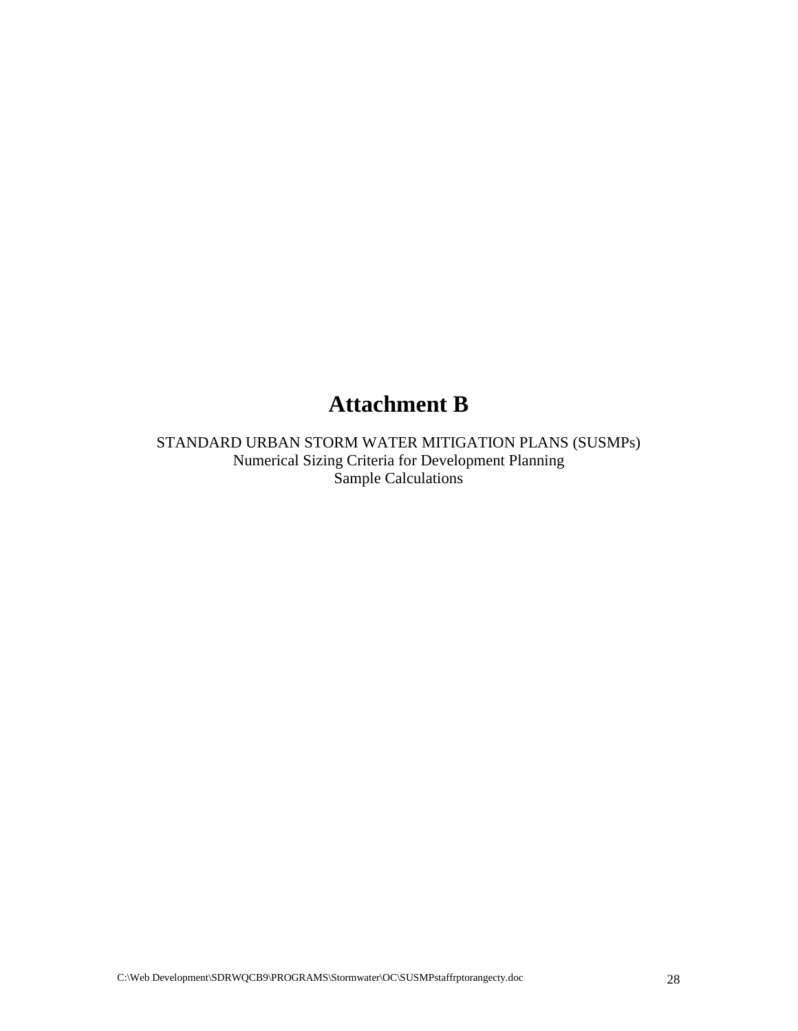# **Attachment B**

STANDARD URBAN STORM WATER MITIGATION PLANS (SUSMPs) Numerical Sizing Criteria for Development Planning Sample Calculations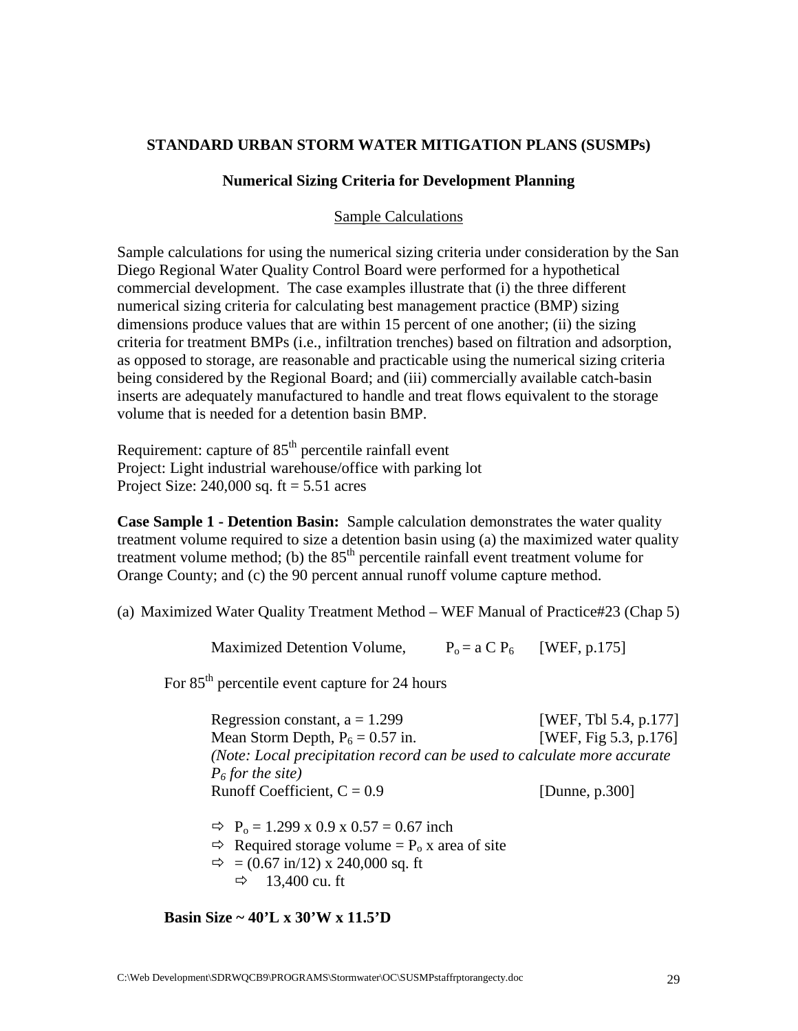#### **STANDARD URBAN STORM WATER MITIGATION PLANS (SUSMPs)**

#### **Numerical Sizing Criteria for Development Planning**

#### Sample Calculations

Sample calculations for using the numerical sizing criteria under consideration by the San Diego Regional Water Quality Control Board were performed for a hypothetical commercial development. The case examples illustrate that (i) the three different numerical sizing criteria for calculating best management practice (BMP) sizing dimensions produce values that are within 15 percent of one another; (ii) the sizing criteria for treatment BMPs (i.e., infiltration trenches) based on filtration and adsorption, as opposed to storage, are reasonable and practicable using the numerical sizing criteria being considered by the Regional Board; and (iii) commercially available catch-basin inserts are adequately manufactured to handle and treat flows equivalent to the storage volume that is needed for a detention basin BMP.

Requirement: capture of  $85<sup>th</sup>$  percentile rainfall event Project: Light industrial warehouse/office with parking lot Project Size:  $240,000$  sq. ft =  $5.51$  acres

**Case Sample 1 - Detention Basin:** Sample calculation demonstrates the water quality treatment volume required to size a detention basin using (a) the maximized water quality treatment volume method; (b) the  $85<sup>th</sup>$  percentile rainfall event treatment volume for Orange County; and (c) the 90 percent annual runoff volume capture method.

(a) Maximized Water Quality Treatment Method – WEF Manual of Practice#23 (Chap 5)

Maximized Detention Volume,  $P_0 = a C P_6$  [WEF, p.175]

For 85<sup>th</sup> percentile event capture for 24 hours

Regression constant,  $a = 1.299$  [WEF, Tbl 5.4, p.177] Mean Storm Depth,  $P_6 = 0.57$  in. [WEF, Fig 5.3, p.176] *(Note: Local precipitation record can be used to calculate more accurate P6 for the site)* Runoff Coefficient,  $C = 0.9$  [Dunne, p.300]

 $\Rightarrow$  P<sub>o</sub> = 1.299 x 0.9 x 0.57 = 0.67 inch

 $\Rightarrow$  Required storage volume = P<sub>o</sub> x area of site

 $\implies$  = (0.67 in/12) x 240,000 sq. ft

 $\Rightarrow$  13,400 cu. ft

**Basin Size ~ 40'L x 30'W x 11.5'D**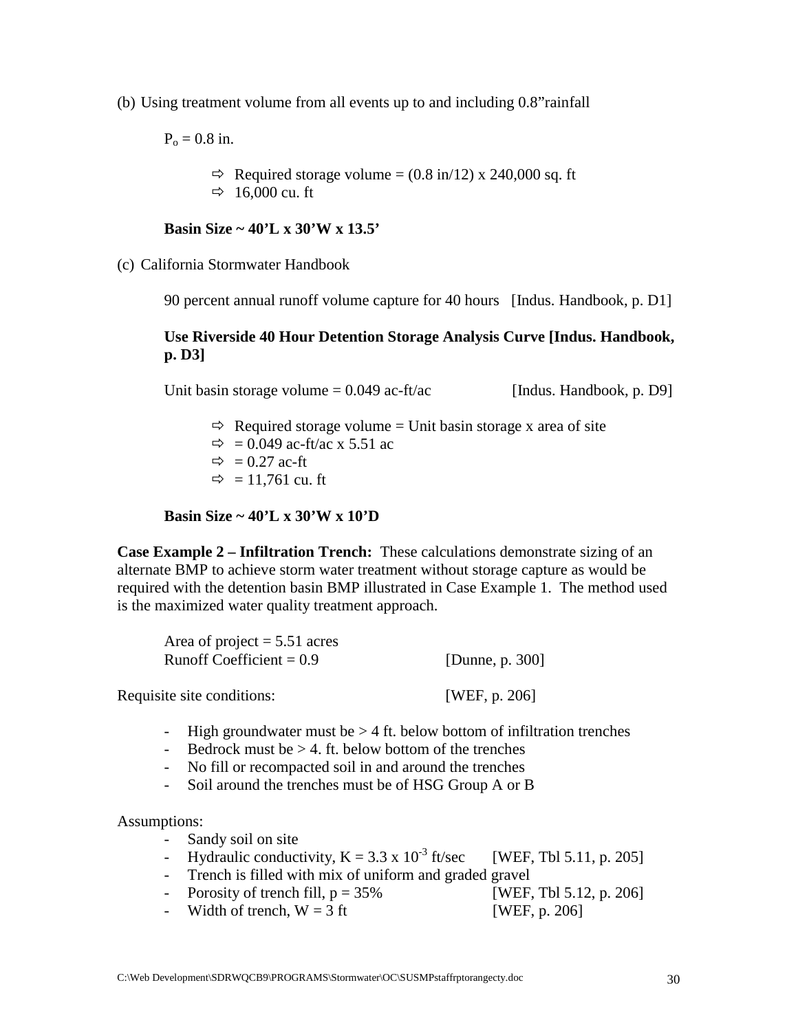(b) Using treatment volume from all events up to and including 0.8"rainfall

 $P_0 = 0.8$  in.

 $\implies$  Required storage volume = (0.8 in/12) x 240,000 sq. ft

 $\Rightarrow$  16,000 cu. ft

## **Basin Size ~ 40'L x 30'W x 13.5'**

(c) California Stormwater Handbook

90 percent annual runoff volume capture for 40 hours [Indus. Handbook, p. D1]

## **Use Riverside 40 Hour Detention Storage Analysis Curve [Indus. Handbook, p. D3]**

Unit basin storage volume  $= 0.049$  ac-ft/ac [Indus. Handbook, p. D9]

- $\Rightarrow$  Required storage volume = Unit basin storage x area of site
- $\Rightarrow$  = 0.049 ac-ft/ac x 5.51 ac
- $\Rightarrow$  = 0.27 ac-ft
- $\Rightarrow$  = 11,761 cu. ft

## **Basin Size ~ 40'L x 30'W x 10'D**

**Case Example 2 – Infiltration Trench:** These calculations demonstrate sizing of an alternate BMP to achieve storm water treatment without storage capture as would be required with the detention basin BMP illustrated in Case Example 1. The method used is the maximized water quality treatment approach.

| Area of project $= 5.51$ acres |                    |
|--------------------------------|--------------------|
| Runoff Coefficient $= 0.9$     | [Dunne, p. $300$ ] |
|                                |                    |

Requisite site conditions: [WEF, p. 206]

- High groundwater must be  $> 4$  ft. below bottom of infiltration trenches
- Bedrock must be  $> 4$ . ft. below bottom of the trenches
- No fill or recompacted soil in and around the trenches
- Soil around the trenches must be of HSG Group A or B

Assumptions:

- Sandy soil on site
- Hydraulic conductivity,  $K = 3.3 \times 10^{-3}$  ft/sec [WEF, Tbl 5.11, p. 205]
- Trench is filled with mix of uniform and graded gravel
- Porosity of trench fill,  $p = 35\%$  [WEF, Tbl 5.12, p. 206]
- Width of trench,  $W = 3$  ft [WEF, p. 206]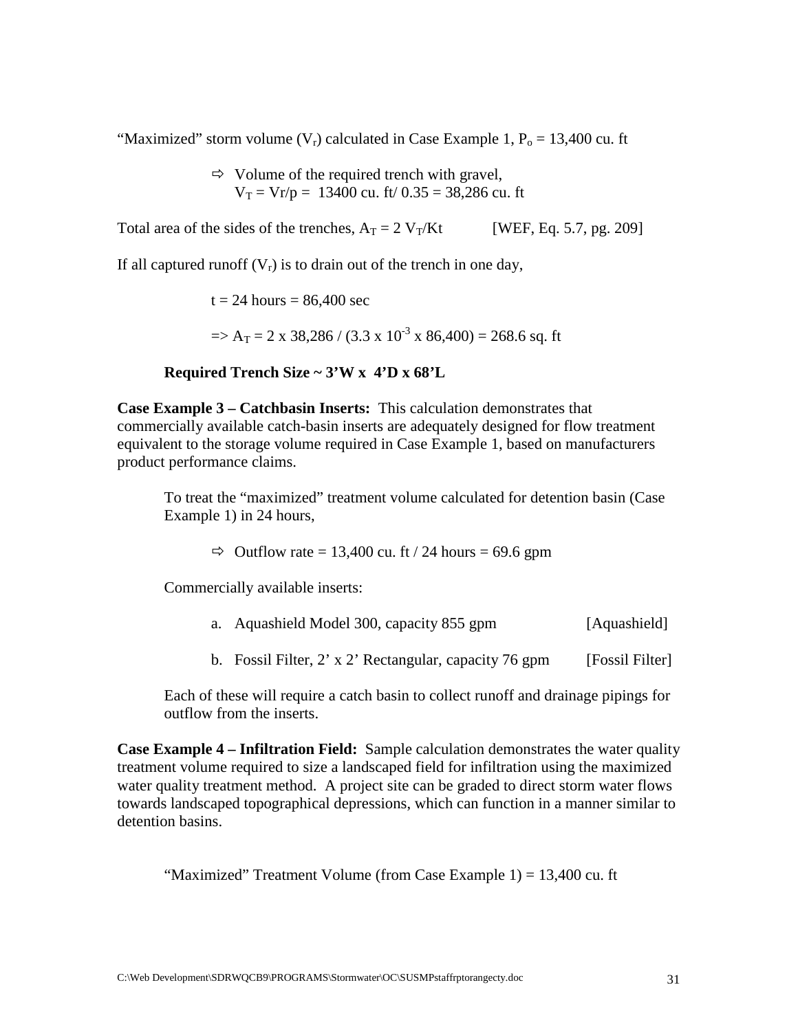"Maximized" storm volume  $(V_r)$  calculated in Case Example 1,  $P_o = 13,400$  cu. ft

⇒ Volume of the required trench with gravel,  

$$
V_T = Vr/p = 13400
$$
 cu. ft/ 0.35 = 38,286 cu. ft

Total area of the sides of the trenches,  $A_T = 2 V_T/Kt$  [WEF, Eq. 5.7, pg. 209]

If all captured runoff  $(V_r)$  is to drain out of the trench in one day,

 $t = 24$  hours = 86,400 sec  $\Rightarrow$  A<sub>T</sub> = 2 x 38,286 / (3.3 x 10<sup>-3</sup> x 86,400) = 268.6 sq. ft

#### **Required Trench Size ~ 3'W x 4'D x 68'L**

**Case Example 3 – Catchbasin Inserts:** This calculation demonstrates that commercially available catch-basin inserts are adequately designed for flow treatment equivalent to the storage volume required in Case Example 1, based on manufacturers product performance claims.

To treat the "maximized" treatment volume calculated for detention basin (Case Example 1) in 24 hours,

 $\Rightarrow$  Outflow rate = 13,400 cu. ft / 24 hours = 69.6 gpm

Commercially available inserts:

|  | a. Aquashield Model 300, capacity 855 gpm |  |  | [Aquashield] |
|--|-------------------------------------------|--|--|--------------|
|--|-------------------------------------------|--|--|--------------|

b. Fossil Filter, 2' x 2' Rectangular, capacity 76 gpm [Fossil Filter]

Each of these will require a catch basin to collect runoff and drainage pipings for outflow from the inserts.

**Case Example 4 – Infiltration Field:** Sample calculation demonstrates the water quality treatment volume required to size a landscaped field for infiltration using the maximized water quality treatment method. A project site can be graded to direct storm water flows towards landscaped topographical depressions, which can function in a manner similar to detention basins.

"Maximized" Treatment Volume (from Case Example 1) = 13,400 cu. ft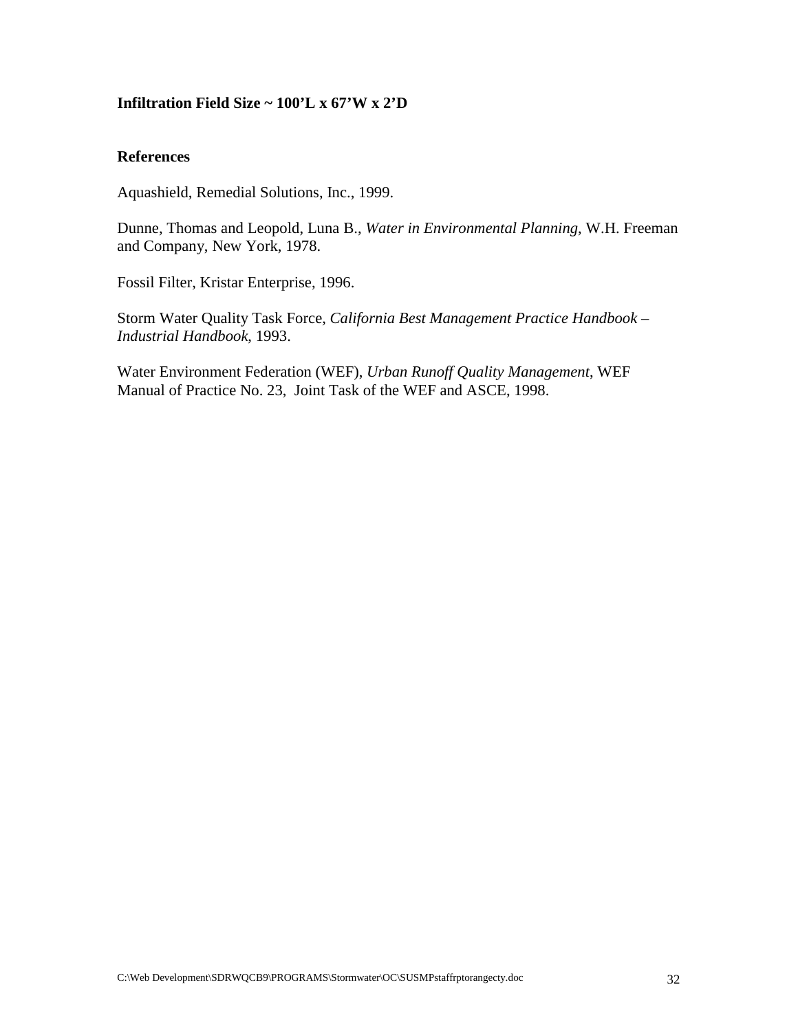## **Infiltration Field Size ~ 100'L x 67'W x 2'D**

## **References**

Aquashield, Remedial Solutions, Inc., 1999.

Dunne, Thomas and Leopold, Luna B., *Water in Environmental Planning*, W.H. Freeman and Company, New York, 1978.

Fossil Filter, Kristar Enterprise, 1996.

Storm Water Quality Task Force, *California Best Management Practice Handbook – Industrial Handbook*, 1993.

Water Environment Federation (WEF), *Urban Runoff Quality Management*, WEF Manual of Practice No. 23, Joint Task of the WEF and ASCE, 1998.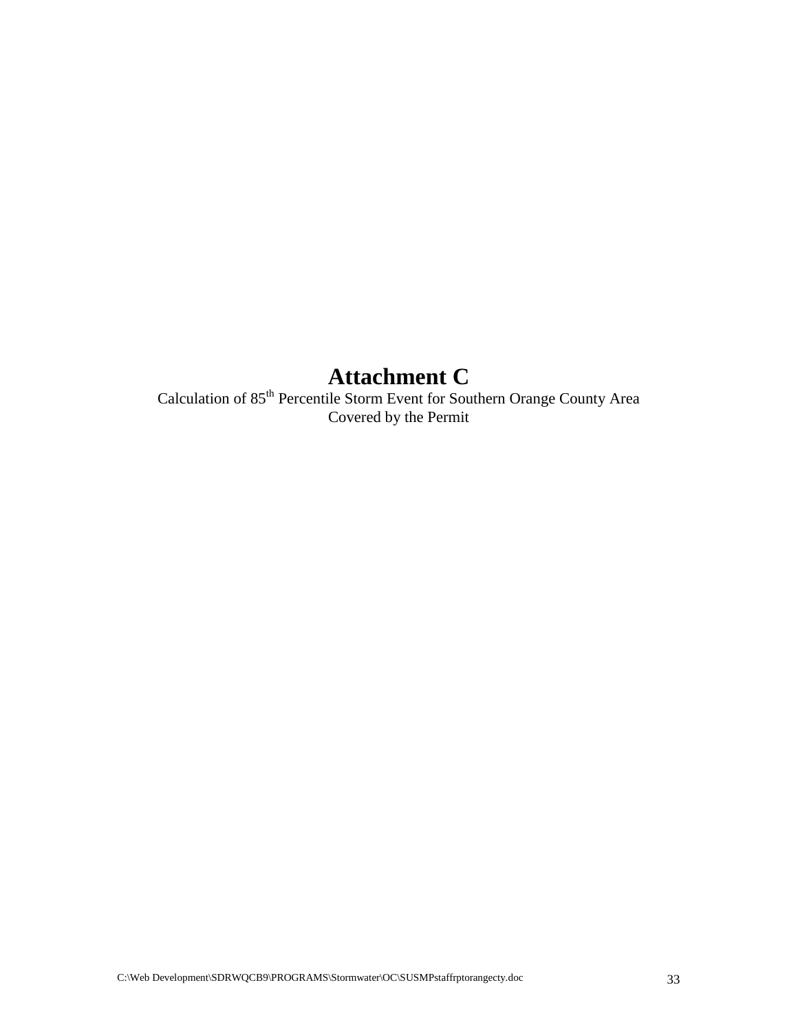# **Attachment C**

Calculation of 85<sup>th</sup> Percentile Storm Event for Southern Orange County Area Covered by the Permit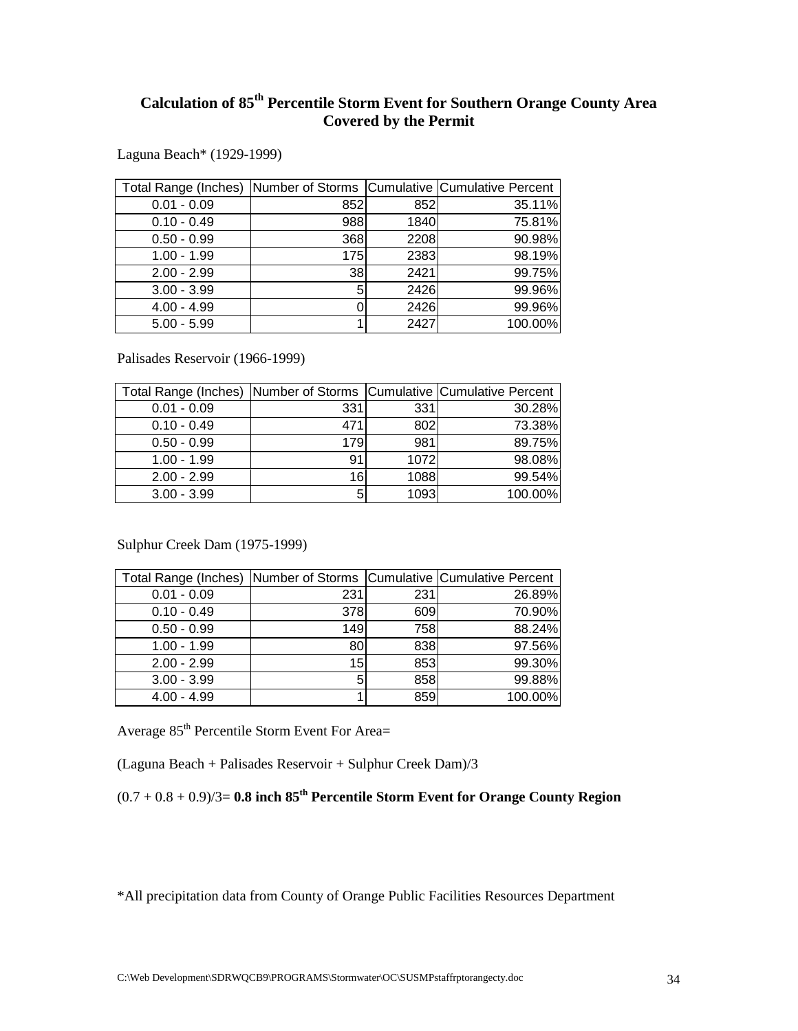## **Calculation of 85th Percentile Storm Event for Southern Orange County Area Covered by the Permit**

Laguna Beach\* (1929-1999)

| Total Range (Inches) Number of Storms Cumulative Cumulative Percent |     |      |         |
|---------------------------------------------------------------------|-----|------|---------|
| $0.01 - 0.09$                                                       | 852 | 852  | 35.11%  |
| $0.10 - 0.49$                                                       | 988 | 1840 | 75.81%  |
| $0.50 - 0.99$                                                       | 368 | 2208 | 90.98%  |
| $1.00 - 1.99$                                                       | 175 | 2383 | 98.19%  |
| $2.00 - 2.99$                                                       | 38  | 2421 | 99.75%  |
| $3.00 - 3.99$                                                       | 5   | 2426 | 99.96%  |
| $4.00 - 4.99$                                                       |     | 2426 | 99.96%  |
| $5.00 - 5.99$                                                       |     | 2427 | 100.00% |

Palisades Reservoir (1966-1999)

| Total Range (Inches)   Number of Storms   Cumulative   Cumulative Percent |     |      |         |
|---------------------------------------------------------------------------|-----|------|---------|
| $0.01 - 0.09$                                                             | 331 | 331  | 30.28%  |
| $0.10 - 0.49$                                                             | 471 | 802  | 73.38%  |
| $0.50 - 0.99$                                                             | 179 | 981  | 89.75%  |
| $1.00 - 1.99$                                                             | 91  | 1072 | 98.08%  |
| $2.00 - 2.99$                                                             | 16  | 1088 | 99.54%  |
| $3.00 - 3.99$                                                             | 5   | 1093 | 100.00% |

Sulphur Creek Dam (1975-1999)

| Total Range (Inches) Number of Storms   Cumulative   Cumulative Percent |     |     |         |
|-------------------------------------------------------------------------|-----|-----|---------|
| $0.01 - 0.09$                                                           | 231 | 231 | 26.89%  |
| $0.10 - 0.49$                                                           | 378 | 609 | 70.90%  |
| $0.50 - 0.99$                                                           | 149 | 758 | 88.24%  |
| $1.00 - 1.99$                                                           | 80  | 838 | 97.56%  |
| $2.00 - 2.99$                                                           | 15  | 853 | 99.30%  |
| $3.00 - 3.99$                                                           | 5   | 858 | 99.88%  |
| $4.00 - 4.99$                                                           |     | 859 | 100.00% |

Average 85<sup>th</sup> Percentile Storm Event For Area=

(Laguna Beach + Palisades Reservoir + Sulphur Creek Dam)/3

 $(0.7 + 0.8 + 0.9)/3 = 0.8$  inch  $85<sup>th</sup>$  Percentile Storm Event for Orange County Region

\*All precipitation data from County of Orange Public Facilities Resources Department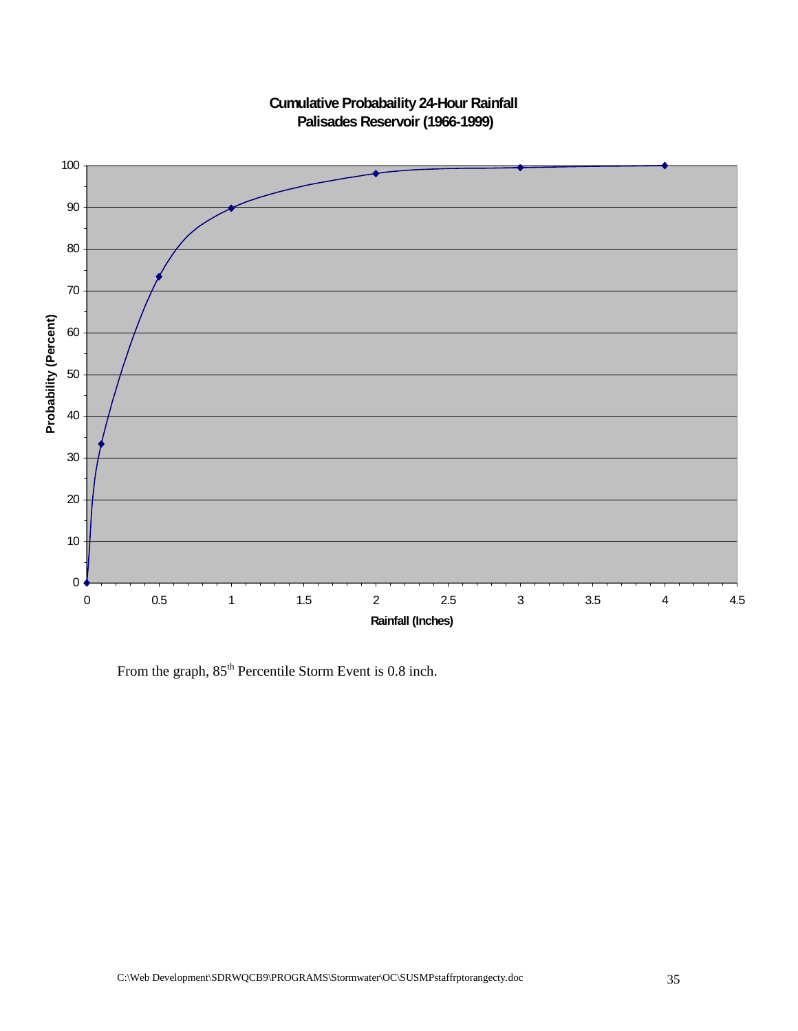

**Cumulative Probabaility 24-Hour Rainfall Palisades Reservoir (1966-1999)**

From the graph,  $85<sup>th</sup>$  Percentile Storm Event is 0.8 inch.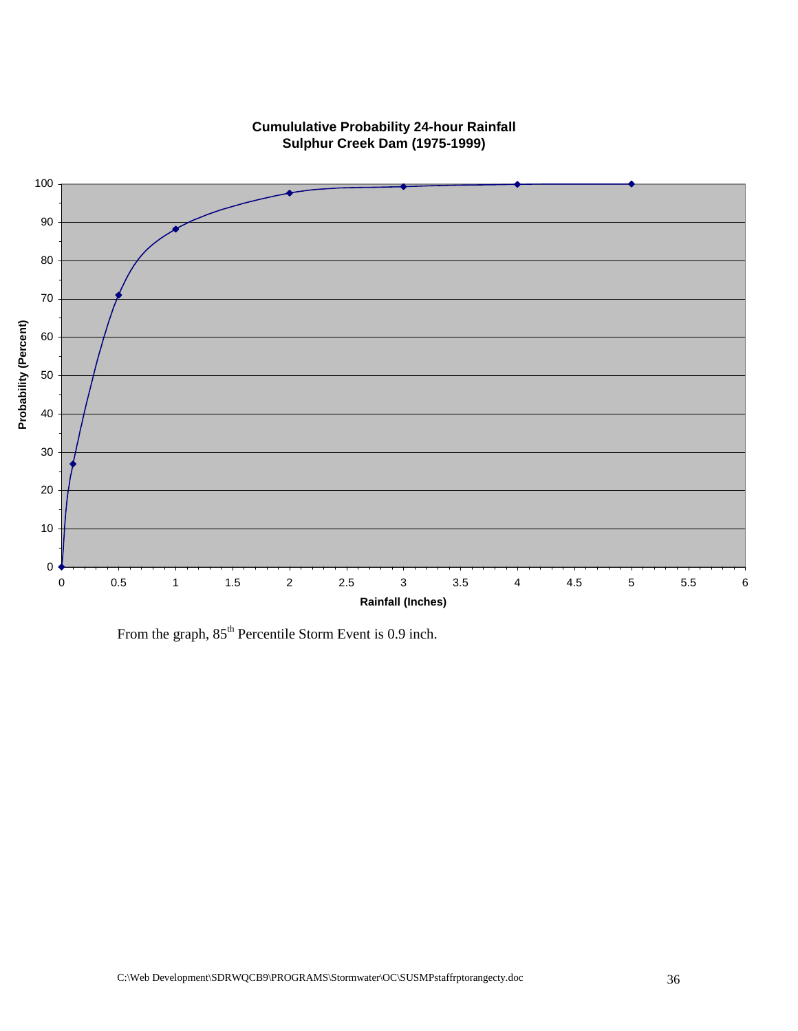

## **Cumululative Probability 24-hour Rainfall Sulphur Creek Dam (1975-1999)**

From the graph,  $85<sup>th</sup>$  Percentile Storm Event is 0.9 inch.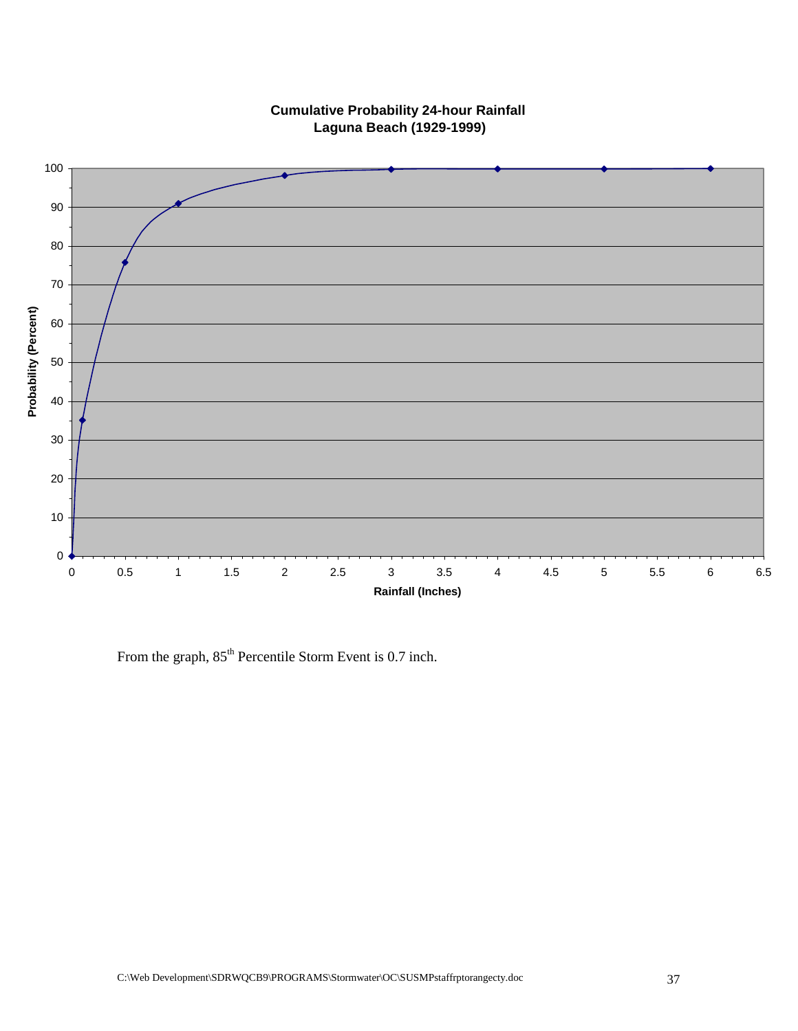

**Cumulative Probability 24-hour Rainfall Laguna Beach (1929-1999)**

From the graph,  $85<sup>th</sup>$  Percentile Storm Event is 0.7 inch.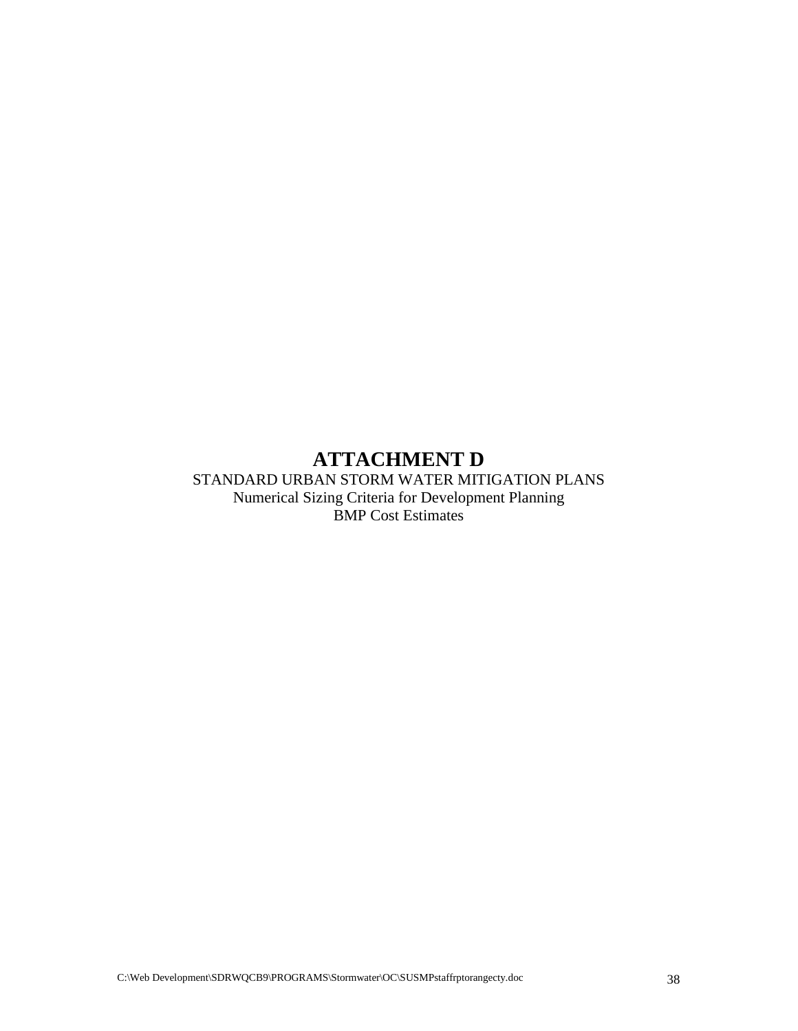## **ATTACHMENT D**

STANDARD URBAN STORM WATER MITIGATION PLANS Numerical Sizing Criteria for Development Planning BMP Cost Estimates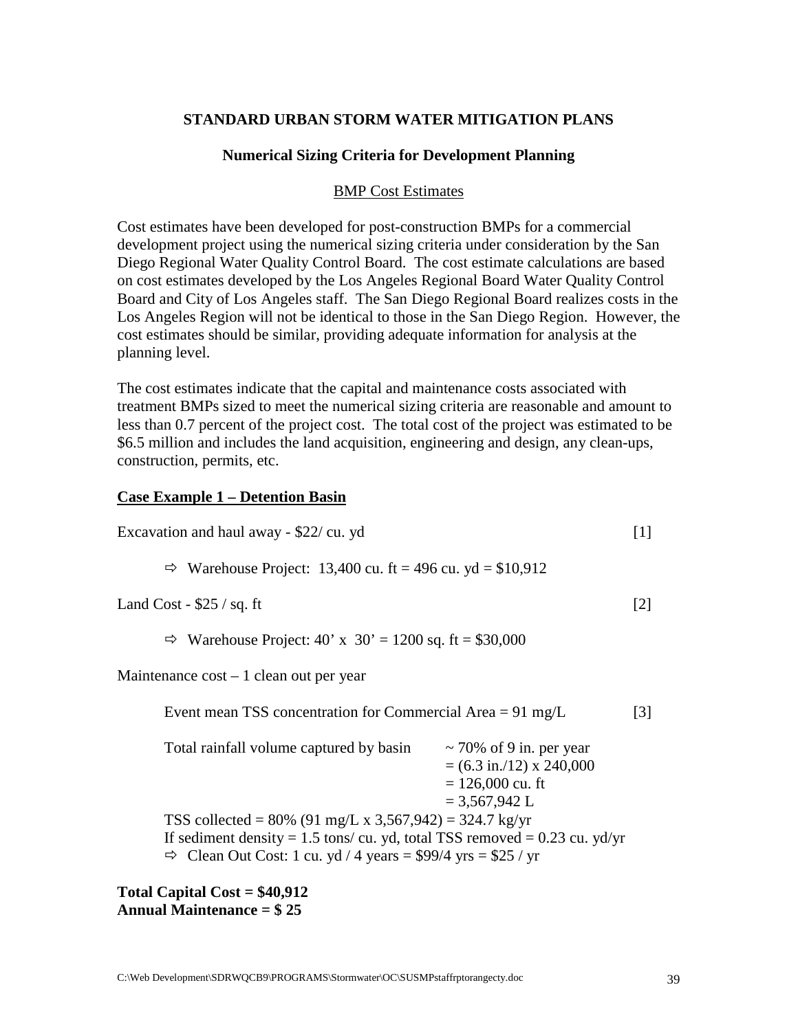## **STANDARD URBAN STORM WATER MITIGATION PLANS**

#### **Numerical Sizing Criteria for Development Planning**

#### BMP Cost Estimates

Cost estimates have been developed for post-construction BMPs for a commercial development project using the numerical sizing criteria under consideration by the San Diego Regional Water Quality Control Board. The cost estimate calculations are based on cost estimates developed by the Los Angeles Regional Board Water Quality Control Board and City of Los Angeles staff. The San Diego Regional Board realizes costs in the Los Angeles Region will not be identical to those in the San Diego Region. However, the cost estimates should be similar, providing adequate information for analysis at the planning level.

The cost estimates indicate that the capital and maintenance costs associated with treatment BMPs sized to meet the numerical sizing criteria are reasonable and amount to less than 0.7 percent of the project cost. The total cost of the project was estimated to be \$6.5 million and includes the land acquisition, engineering and design, any clean-ups, construction, permits, etc.

#### **Case Example 1 – Detention Basin**

| Excavation and haul away - \$22/ cu. yd                                                                                                                                                                                                                                                                                                                                            |                   |  |
|------------------------------------------------------------------------------------------------------------------------------------------------------------------------------------------------------------------------------------------------------------------------------------------------------------------------------------------------------------------------------------|-------------------|--|
| $\Rightarrow$ Warehouse Project: 13,400 cu. ft = 496 cu. yd = \$10,912                                                                                                                                                                                                                                                                                                             |                   |  |
| Land Cost - $$25 / sq. ft$                                                                                                                                                                                                                                                                                                                                                         | $\lceil 2 \rceil$ |  |
| Warehouse Project: $40' \times 30' = 1200$ sq. ft = \$30,000<br>⇨                                                                                                                                                                                                                                                                                                                  |                   |  |
| Maintenance $cost - 1$ clean out per year                                                                                                                                                                                                                                                                                                                                          |                   |  |
| Event mean TSS concentration for Commercial Area = $91 \text{ mg/L}$                                                                                                                                                                                                                                                                                                               | $\lceil 3 \rceil$ |  |
| Total rainfall volume captured by basin<br>$\sim$ 70% of 9 in. per year<br>$= (6.3 \text{ in.}/12) \times 240,000$<br>$= 126,000$ cu. ft<br>$= 3,567,942$ L<br>TSS collected = 80% (91 mg/L x 3,567,942) = 324.7 kg/yr<br>If sediment density = 1.5 tons/cu. yd, total TSS removed = $0.23$ cu. yd/yr<br>$\Rightarrow$ Clean Out Cost: 1 cu. yd / 4 years = \$99/4 yrs = \$25 / yr |                   |  |
|                                                                                                                                                                                                                                                                                                                                                                                    |                   |  |

**Total Capital Cost = \$40,912 Annual Maintenance = \$ 25**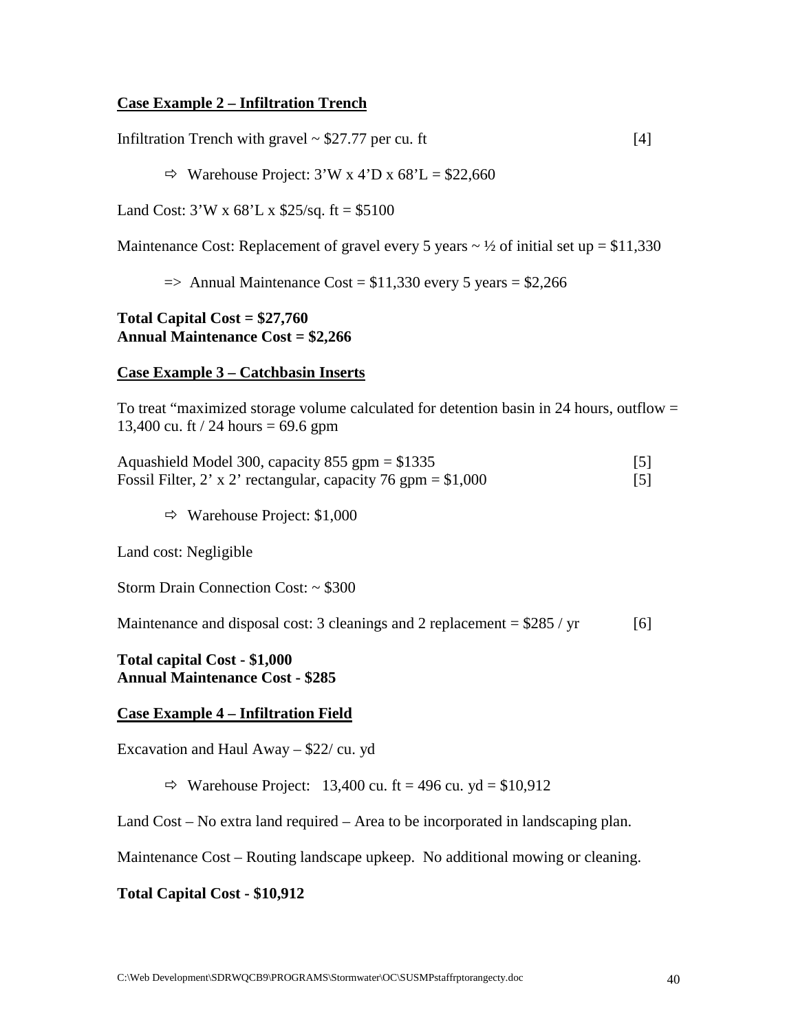## **Case Example 2 – Infiltration Trench**

Infiltration Trench with gravel  $\sim$  \$27.77 per cu. ft [4]

 $\Rightarrow$  Warehouse Project: 3'W x 4'D x 68'L = \$22,660

Land Cost:  $3'W \times 68'L \times $25/\text{sq}$ . ft = \$5100

Maintenance Cost: Replacement of gravel every 5 years  $\sim \frac{1}{2}$  of initial set up = \$11,330

 $\Rightarrow$  Annual Maintenance Cost = \$11,330 every 5 years = \$2,266

#### **Total Capital Cost = \$27,760 Annual Maintenance Cost = \$2,266**

#### **Case Example 3 – Catchbasin Inserts**

To treat "maximized storage volume calculated for detention basin in 24 hours, outflow  $=$ 13,400 cu. ft / 24 hours =  $69.6$  gpm

| Aquashield Model 300, capacity 855 gpm = $$1335$               |                   |
|----------------------------------------------------------------|-------------------|
| Fossil Filter, 2' x 2' rectangular, capacity 76 gpm = $$1,000$ | $\lceil 5 \rceil$ |

 $\Rightarrow$  Warehouse Project: \$1,000

Land cost: Negligible

Storm Drain Connection Cost: ~ \$300

Maintenance and disposal cost: 3 cleanings and 2 replacement  $= $285 / yr$  [6]

**Total capital Cost - \$1,000 Annual Maintenance Cost - \$285**

#### **Case Example 4 – Infiltration Field**

Excavation and Haul Away – \$22/ cu. yd

 $\Rightarrow$  Warehouse Project: 13,400 cu. ft = 496 cu. yd = \$10,912

Land Cost – No extra land required – Area to be incorporated in landscaping plan.

Maintenance Cost – Routing landscape upkeep. No additional mowing or cleaning.

#### **Total Capital Cost - \$10,912**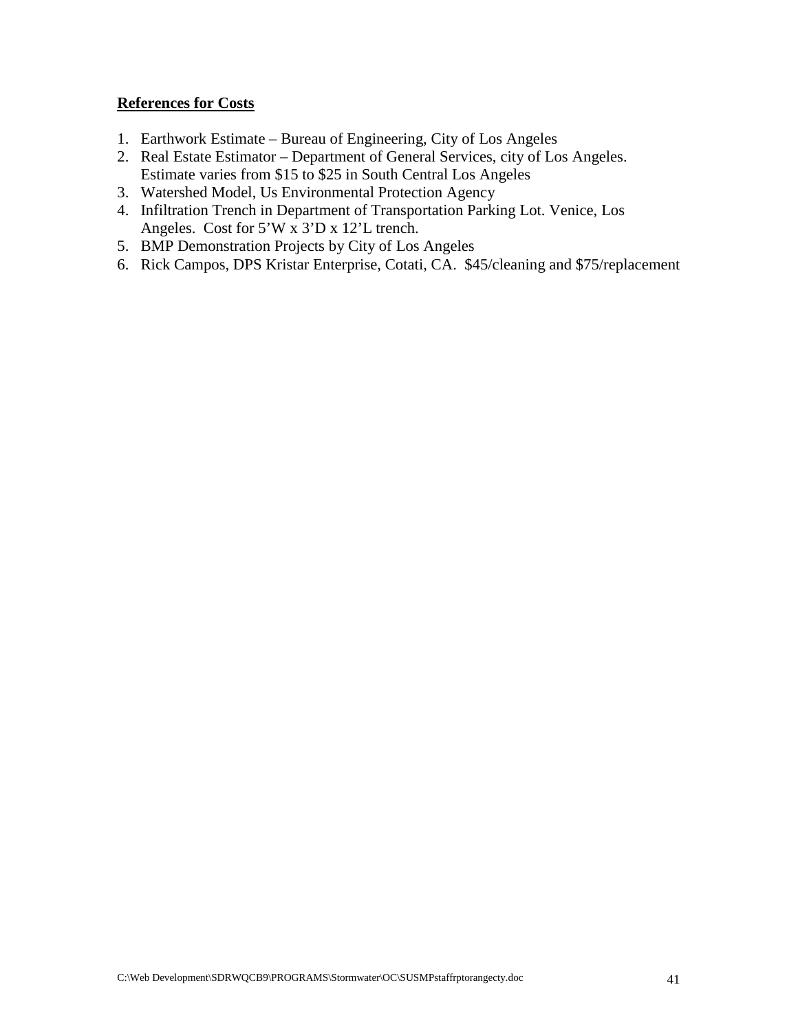## **References for Costs**

- 1. Earthwork Estimate Bureau of Engineering, City of Los Angeles
- 2. Real Estate Estimator Department of General Services, city of Los Angeles. Estimate varies from \$15 to \$25 in South Central Los Angeles
- 3. Watershed Model, Us Environmental Protection Agency
- 4. Infiltration Trench in Department of Transportation Parking Lot. Venice, Los Angeles. Cost for 5'W x 3'D x 12'L trench.
- 5. BMP Demonstration Projects by City of Los Angeles
- 6. Rick Campos, DPS Kristar Enterprise, Cotati, CA. \$45/cleaning and \$75/replacement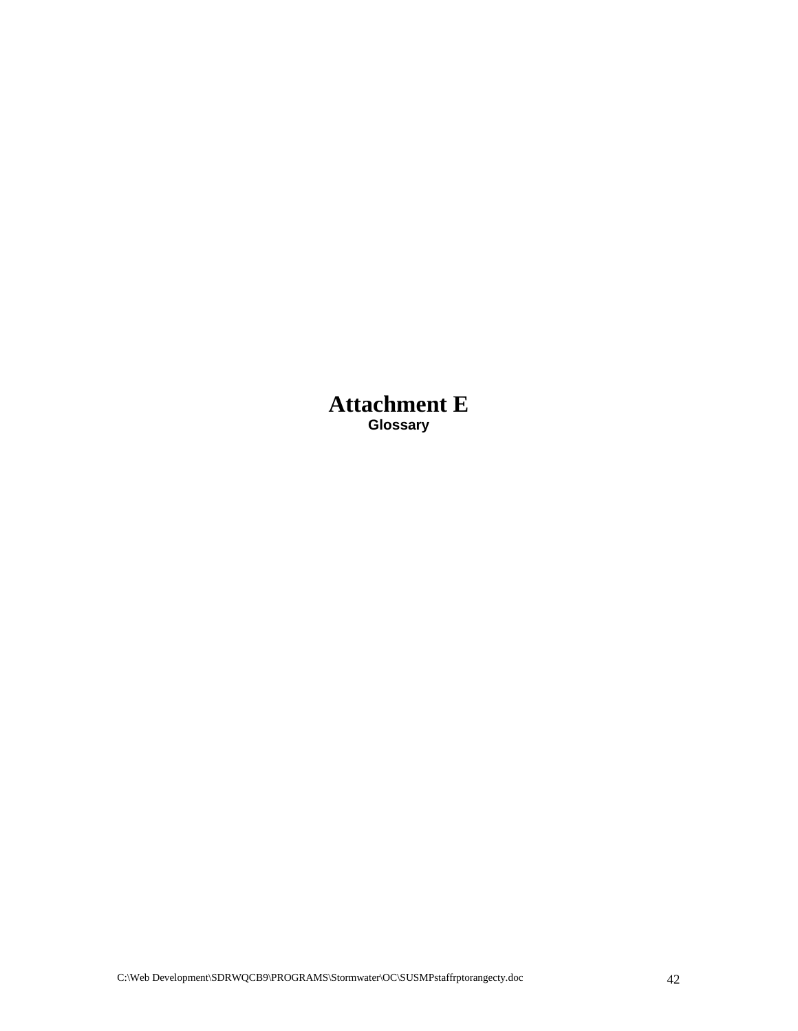**Attachment E Glossary**